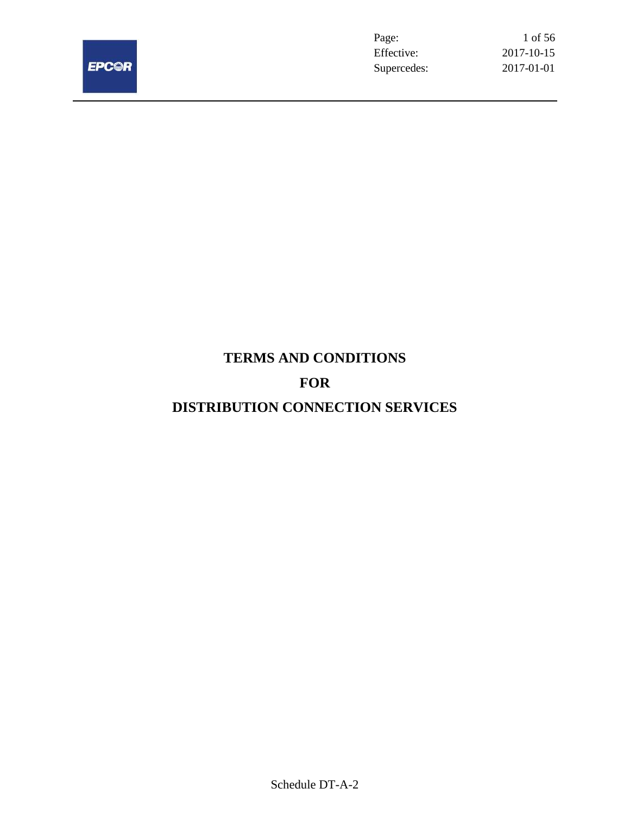

Page: 1 of 56 Effective: 2017-10-15 Supercedes: 2017-01-01

# **TERMS AND CONDITIONS**

# **FOR**

# **DISTRIBUTION CONNECTION SERVICES**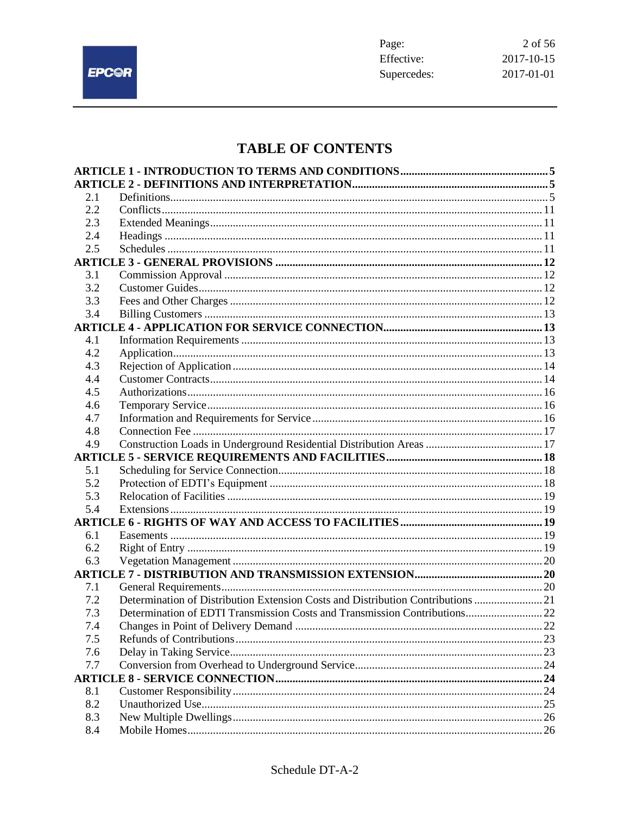

# TABLE OF CONTENTS

| 2.1 |                                                                                  |  |
|-----|----------------------------------------------------------------------------------|--|
| 2.2 |                                                                                  |  |
| 2.3 |                                                                                  |  |
| 2.4 |                                                                                  |  |
| 2.5 |                                                                                  |  |
|     |                                                                                  |  |
| 3.1 |                                                                                  |  |
| 3.2 |                                                                                  |  |
| 3.3 |                                                                                  |  |
| 3.4 |                                                                                  |  |
|     |                                                                                  |  |
| 4.1 |                                                                                  |  |
| 4.2 |                                                                                  |  |
| 4.3 |                                                                                  |  |
| 4.4 |                                                                                  |  |
| 4.5 |                                                                                  |  |
| 4.6 |                                                                                  |  |
| 4.7 |                                                                                  |  |
| 4.8 |                                                                                  |  |
| 4.9 |                                                                                  |  |
|     |                                                                                  |  |
| 5.1 |                                                                                  |  |
| 5.2 |                                                                                  |  |
| 5.3 |                                                                                  |  |
| 5.4 |                                                                                  |  |
|     |                                                                                  |  |
| 6.1 |                                                                                  |  |
| 6.2 |                                                                                  |  |
| 6.3 |                                                                                  |  |
|     |                                                                                  |  |
| 7.1 |                                                                                  |  |
| 7.2 | Determination of Distribution Extension Costs and Distribution Contributions  21 |  |
| 7.3 | Determination of EDTI Transmission Costs and Transmission Contributions 22       |  |
| 7.4 | Changes in Point of Delivery Demand.                                             |  |
| 7.5 |                                                                                  |  |
| 7.6 |                                                                                  |  |
| 7.7 |                                                                                  |  |
|     |                                                                                  |  |
| 8.1 |                                                                                  |  |
| 8.2 |                                                                                  |  |
| 8.3 |                                                                                  |  |
| 8.4 |                                                                                  |  |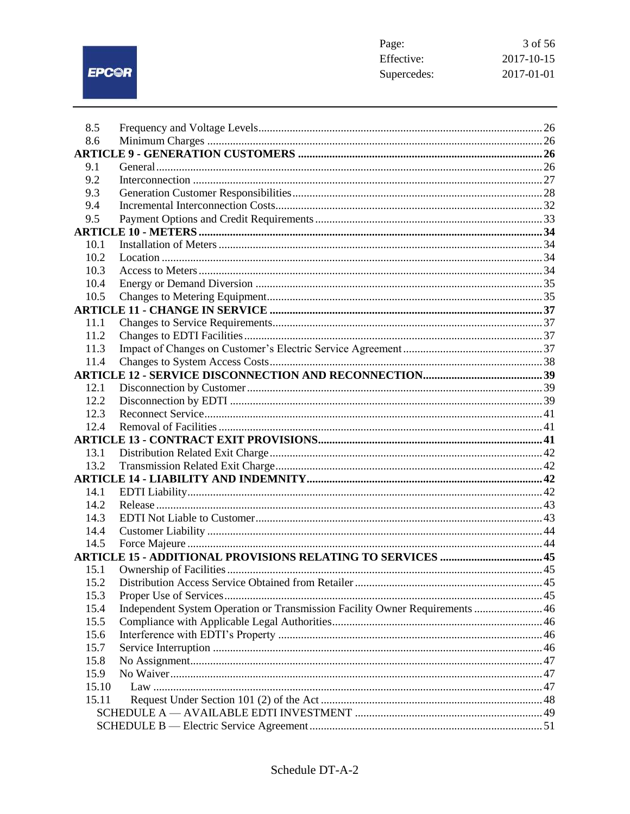EPCOR

| Page:       | 3 of 56    |
|-------------|------------|
| Effective:  | 2017-10-15 |
| Supercedes: | 2017-01-01 |

| 8.5          |                                                                              |  |
|--------------|------------------------------------------------------------------------------|--|
| 8.6          |                                                                              |  |
|              |                                                                              |  |
| 9.1          |                                                                              |  |
| 9.2          |                                                                              |  |
| 9.3          |                                                                              |  |
| 9.4          |                                                                              |  |
| 9.5          |                                                                              |  |
|              |                                                                              |  |
| 10.1         |                                                                              |  |
| 10.2         |                                                                              |  |
| 10.3         |                                                                              |  |
| 10.4         |                                                                              |  |
| 10.5         |                                                                              |  |
|              |                                                                              |  |
| 11.1<br>11.2 |                                                                              |  |
| 11.3         |                                                                              |  |
| 11.4         |                                                                              |  |
|              |                                                                              |  |
| 12.1         |                                                                              |  |
| 12.2         |                                                                              |  |
| 12.3         |                                                                              |  |
| 12.4         |                                                                              |  |
|              |                                                                              |  |
| 13.1         |                                                                              |  |
| 13.2         |                                                                              |  |
|              |                                                                              |  |
| 14.1         |                                                                              |  |
| 14.2         |                                                                              |  |
| 14.3         |                                                                              |  |
| 14.4         |                                                                              |  |
| 14.5         |                                                                              |  |
|              | <b>ARTICLE 15 - ADDITIONAL PROVISIONS RELATING TO SERVICES  45</b>           |  |
| 15.1         |                                                                              |  |
| 15.2         |                                                                              |  |
| 15.3         |                                                                              |  |
| 15.4         | Independent System Operation or Transmission Facility Owner Requirements  46 |  |
| 15.5         |                                                                              |  |
| 15.6         |                                                                              |  |
| 15.7         |                                                                              |  |
| 15.8         |                                                                              |  |
| 15.9         |                                                                              |  |
| 15.10        |                                                                              |  |
| 15.11        |                                                                              |  |
|              |                                                                              |  |
|              |                                                                              |  |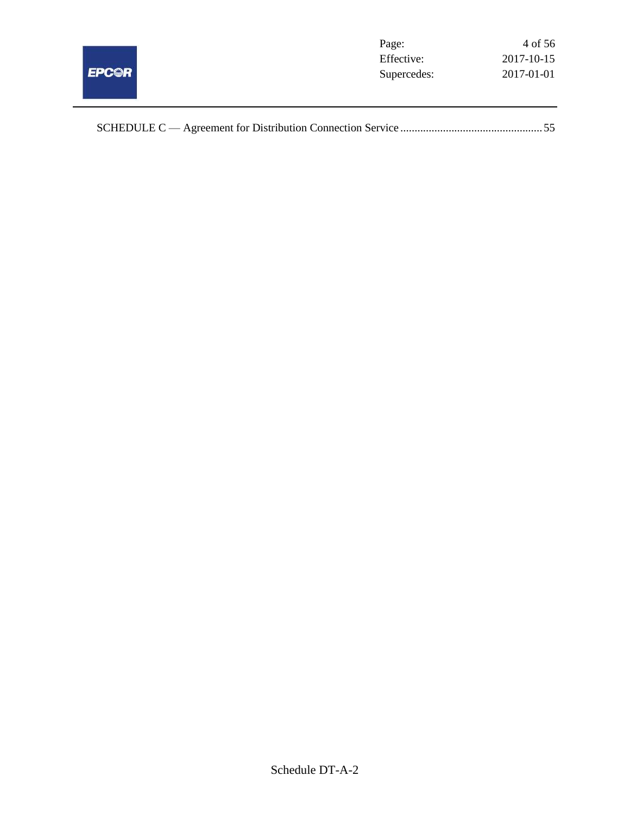

|--|--|--|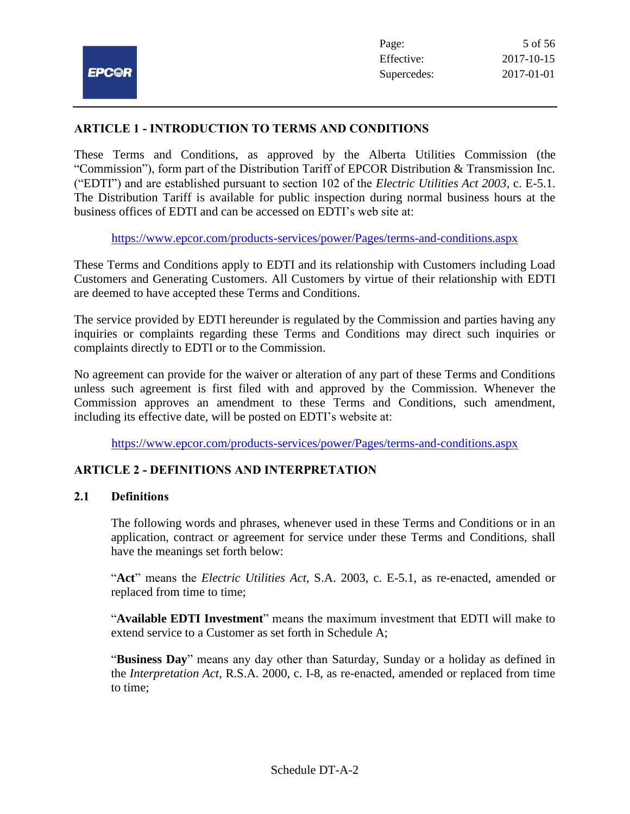## **ARTICLE 1 - INTRODUCTION TO TERMS AND CONDITIONS**

These Terms and Conditions, as approved by the Alberta Utilities Commission (the "Commission"), form part of the Distribution Tariff of EPCOR Distribution & Transmission Inc. ("EDTI") and are established pursuant to section 102 of the *Electric Utilities Act 2003*, c. E-5.1. The Distribution Tariff is available for public inspection during normal business hours at the business offices of EDTI and can be accessed on EDTI's web site at:

<https://www.epcor.com/products-services/power/Pages/terms-and-conditions.aspx>

These Terms and Conditions apply to EDTI and its relationship with Customers including Load Customers and Generating Customers. All Customers by virtue of their relationship with EDTI are deemed to have accepted these Terms and Conditions.

The service provided by EDTI hereunder is regulated by the Commission and parties having any inquiries or complaints regarding these Terms and Conditions may direct such inquiries or complaints directly to EDTI or to the Commission.

No agreement can provide for the waiver or alteration of any part of these Terms and Conditions unless such agreement is first filed with and approved by the Commission. Whenever the Commission approves an amendment to these Terms and Conditions, such amendment, including its effective date, will be posted on EDTI's website at:

<https://www.epcor.com/products-services/power/Pages/terms-and-conditions.aspx>

## **ARTICLE 2 - DEFINITIONS AND INTERPRETATION**

#### **2.1 Definitions**

The following words and phrases, whenever used in these Terms and Conditions or in an application, contract or agreement for service under these Terms and Conditions, shall have the meanings set forth below:

"**Act**" means the *Electric Utilities Act*, S.A. 2003, c. E-5.1, as re-enacted, amended or replaced from time to time;

"**Available EDTI Investment**" means the maximum investment that EDTI will make to extend service to a Customer as set forth in Schedule A;

"**Business Day**" means any day other than Saturday, Sunday or a holiday as defined in the *Interpretation Act*, R.S.A. 2000, c. I-8, as re-enacted, amended or replaced from time to time;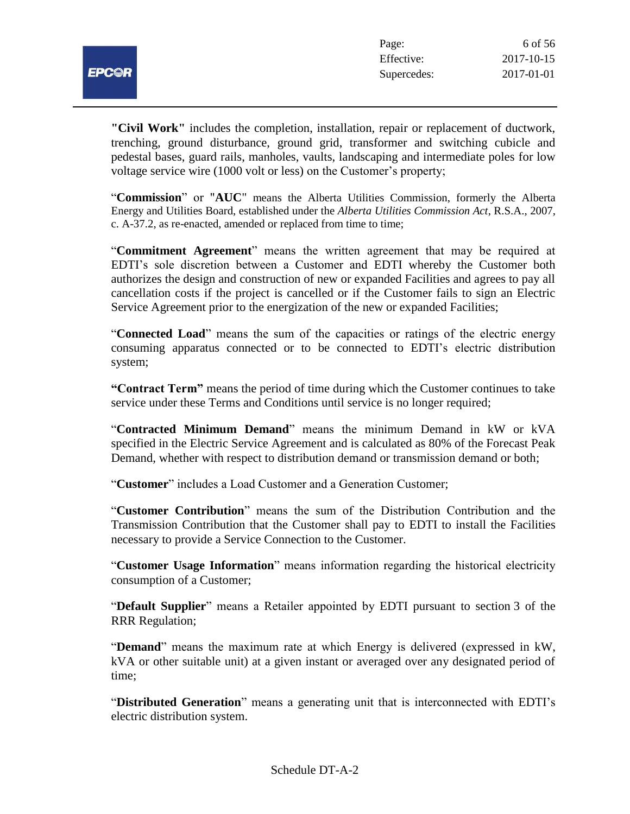

**"Civil Work"** includes the completion, installation, repair or replacement of ductwork, trenching, ground disturbance, ground grid, transformer and switching cubicle and pedestal bases, guard rails, manholes, vaults, landscaping and intermediate poles for low voltage service wire (1000 volt or less) on the Customer's property;

"**Commission**" or "**AUC**" means the Alberta Utilities Commission, formerly the Alberta Energy and Utilities Board, established under the *Alberta Utilities Commission Act*, R.S.A., 2007, c. A-37.2, as re-enacted, amended or replaced from time to time;

"**Commitment Agreement**" means the written agreement that may be required at EDTI's sole discretion between a Customer and EDTI whereby the Customer both authorizes the design and construction of new or expanded Facilities and agrees to pay all cancellation costs if the project is cancelled or if the Customer fails to sign an Electric Service Agreement prior to the energization of the new or expanded Facilities;

"**Connected Load**" means the sum of the capacities or ratings of the electric energy consuming apparatus connected or to be connected to EDTI's electric distribution system;

**"Contract Term"** means the period of time during which the Customer continues to take service under these Terms and Conditions until service is no longer required;

"**Contracted Minimum Demand**" means the minimum Demand in kW or kVA specified in the Electric Service Agreement and is calculated as 80% of the Forecast Peak Demand, whether with respect to distribution demand or transmission demand or both;

"**Customer**" includes a Load Customer and a Generation Customer;

"**Customer Contribution**" means the sum of the Distribution Contribution and the Transmission Contribution that the Customer shall pay to EDTI to install the Facilities necessary to provide a Service Connection to the Customer.

"**Customer Usage Information**" means information regarding the historical electricity consumption of a Customer;

"**Default Supplier**" means a Retailer appointed by EDTI pursuant to section 3 of the RRR Regulation;

"**Demand**" means the maximum rate at which Energy is delivered (expressed in kW, kVA or other suitable unit) at a given instant or averaged over any designated period of time;

"**Distributed Generation**" means a generating unit that is interconnected with EDTI's electric distribution system.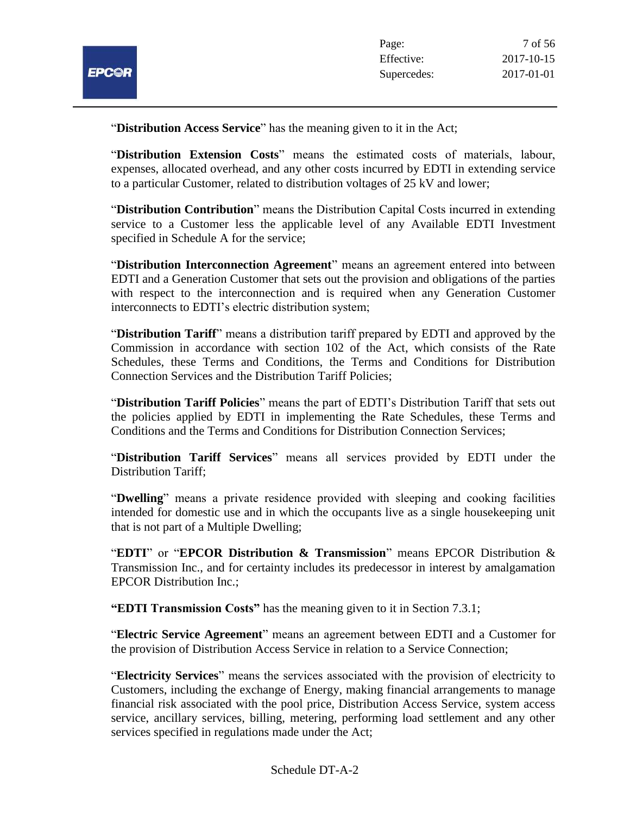

"**Distribution Access Service**" has the meaning given to it in the Act;

"**Distribution Extension Costs**" means the estimated costs of materials, labour, expenses, allocated overhead, and any other costs incurred by EDTI in extending service to a particular Customer, related to distribution voltages of 25 kV and lower;

"**Distribution Contribution**" means the Distribution Capital Costs incurred in extending service to a Customer less the applicable level of any Available EDTI Investment specified in Schedule A for the service;

"**Distribution Interconnection Agreement**" means an agreement entered into between EDTI and a Generation Customer that sets out the provision and obligations of the parties with respect to the interconnection and is required when any Generation Customer interconnects to EDTI's electric distribution system;

"**Distribution Tariff**" means a distribution tariff prepared by EDTI and approved by the Commission in accordance with section 102 of the Act, which consists of the Rate Schedules, these Terms and Conditions, the Terms and Conditions for Distribution Connection Services and the Distribution Tariff Policies;

"**Distribution Tariff Policies**" means the part of EDTI's Distribution Tariff that sets out the policies applied by EDTI in implementing the Rate Schedules, these Terms and Conditions and the Terms and Conditions for Distribution Connection Services;

"**Distribution Tariff Services**" means all services provided by EDTI under the Distribution Tariff;

"**Dwelling**" means a private residence provided with sleeping and cooking facilities intended for domestic use and in which the occupants live as a single housekeeping unit that is not part of a Multiple Dwelling;

"**EDTI**" or "**EPCOR Distribution & Transmission**" means EPCOR Distribution & Transmission Inc., and for certainty includes its predecessor in interest by amalgamation EPCOR Distribution Inc.;

**"EDTI Transmission Costs"** has the meaning given to it in Section 7.3.1;

"**Electric Service Agreement**" means an agreement between EDTI and a Customer for the provision of Distribution Access Service in relation to a Service Connection;

"**Electricity Services**" means the services associated with the provision of electricity to Customers, including the exchange of Energy, making financial arrangements to manage financial risk associated with the pool price, Distribution Access Service, system access service, ancillary services, billing, metering, performing load settlement and any other services specified in regulations made under the Act;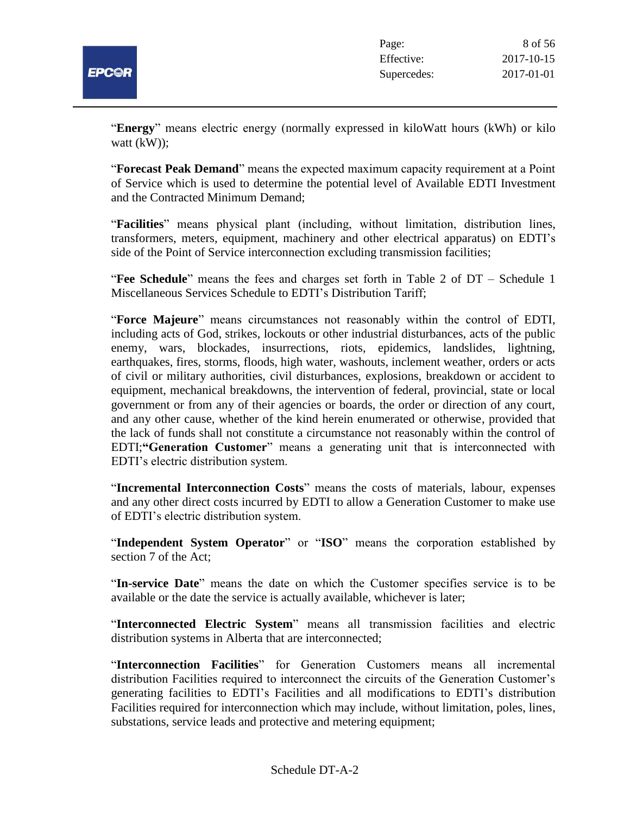

"**Energy**" means electric energy (normally expressed in kiloWatt hours (kWh) or kilo watt (kW)):

"**Forecast Peak Demand**" means the expected maximum capacity requirement at a Point of Service which is used to determine the potential level of Available EDTI Investment and the Contracted Minimum Demand;

"**Facilities**" means physical plant (including, without limitation, distribution lines, transformers, meters, equipment, machinery and other electrical apparatus) on EDTI's side of the Point of Service interconnection excluding transmission facilities;

"**Fee Schedule**" means the fees and charges set forth in Table 2 of DT – Schedule 1 Miscellaneous Services Schedule to EDTI's Distribution Tariff;

"**Force Majeure**" means circumstances not reasonably within the control of EDTI, including acts of God, strikes, lockouts or other industrial disturbances, acts of the public enemy, wars, blockades, insurrections, riots, epidemics, landslides, lightning, earthquakes, fires, storms, floods, high water, washouts, inclement weather, orders or acts of civil or military authorities, civil disturbances, explosions, breakdown or accident to equipment, mechanical breakdowns, the intervention of federal, provincial, state or local government or from any of their agencies or boards, the order or direction of any court, and any other cause, whether of the kind herein enumerated or otherwise, provided that the lack of funds shall not constitute a circumstance not reasonably within the control of EDTI;**"Generation Customer**" means a generating unit that is interconnected with EDTI's electric distribution system.

"**Incremental Interconnection Costs**" means the costs of materials, labour, expenses and any other direct costs incurred by EDTI to allow a Generation Customer to make use of EDTI's electric distribution system.

"**Independent System Operator**" or "**ISO**" means the corporation established by section 7 of the Act;

"**In-service Date**" means the date on which the Customer specifies service is to be available or the date the service is actually available, whichever is later;

"**Interconnected Electric System**" means all transmission facilities and electric distribution systems in Alberta that are interconnected;

"**Interconnection Facilities**" for Generation Customers means all incremental distribution Facilities required to interconnect the circuits of the Generation Customer's generating facilities to EDTI's Facilities and all modifications to EDTI's distribution Facilities required for interconnection which may include, without limitation, poles, lines, substations, service leads and protective and metering equipment;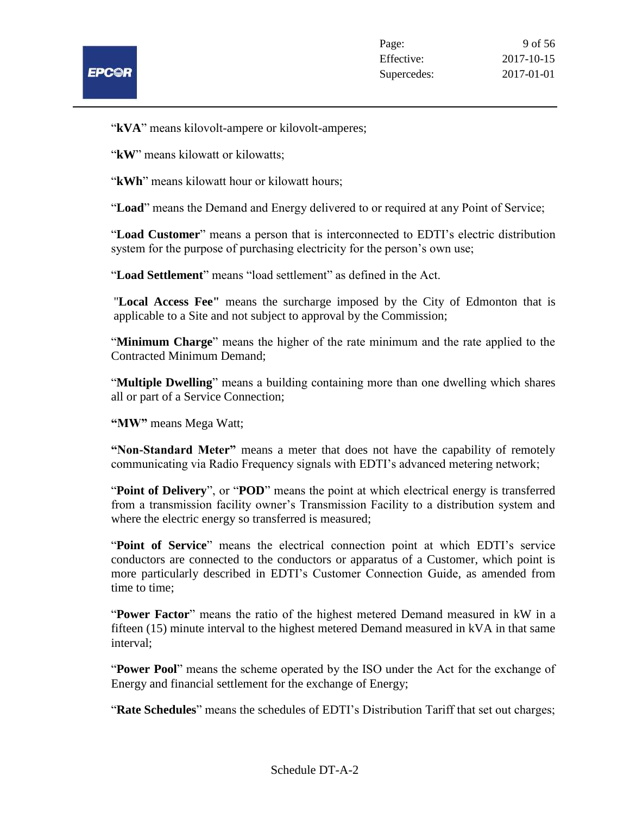

"**kVA**" means kilovolt-ampere or kilovolt-amperes;

"**kW**" means kilowatt or kilowatts:

"**kWh**" means kilowatt hour or kilowatt hours;

"**Load**" means the Demand and Energy delivered to or required at any Point of Service;

"**Load Customer**" means a person that is interconnected to EDTI's electric distribution system for the purpose of purchasing electricity for the person's own use;

"**Load Settlement**" means "load settlement" as defined in the Act.

"**Local Access Fee"** means the surcharge imposed by the City of Edmonton that is applicable to a Site and not subject to approval by the Commission;

"**Minimum Charge**" means the higher of the rate minimum and the rate applied to the Contracted Minimum Demand;

"**Multiple Dwelling**" means a building containing more than one dwelling which shares all or part of a Service Connection;

**"MW"** means Mega Watt;

**"Non-Standard Meter"** means a meter that does not have the capability of remotely communicating via Radio Frequency signals with EDTI's advanced metering network;

"**Point of Delivery**", or "**POD**" means the point at which electrical energy is transferred from a transmission facility owner's Transmission Facility to a distribution system and where the electric energy so transferred is measured;

"**Point of Service**" means the electrical connection point at which EDTI's service conductors are connected to the conductors or apparatus of a Customer, which point is more particularly described in EDTI's Customer Connection Guide, as amended from time to time;

"**Power Factor**" means the ratio of the highest metered Demand measured in kW in a fifteen (15) minute interval to the highest metered Demand measured in kVA in that same interval;

"**Power Pool**" means the scheme operated by the ISO under the Act for the exchange of Energy and financial settlement for the exchange of Energy;

"**Rate Schedules**" means the schedules of EDTI's Distribution Tariff that set out charges;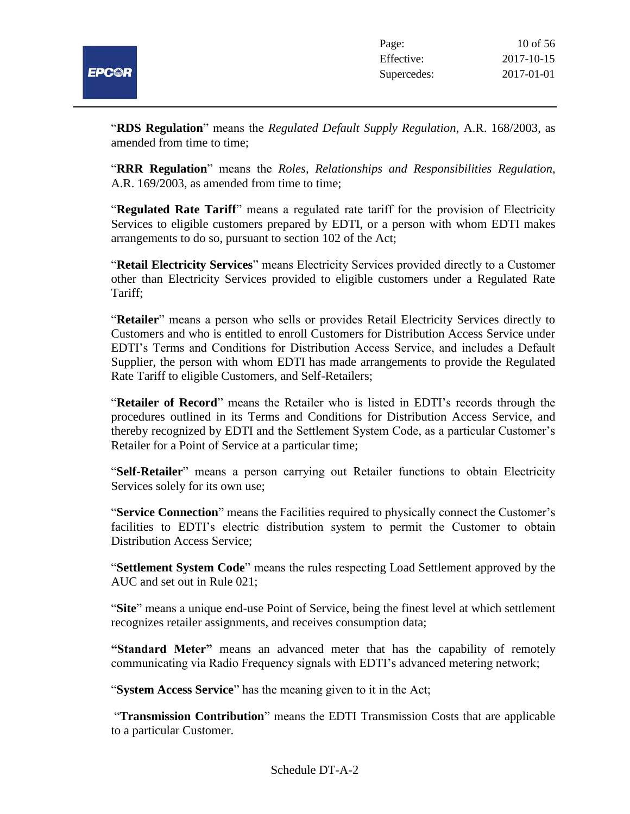

"**RDS Regulation**" means the *Regulated Default Supply Regulation*, A.R. 168/2003, as amended from time to time;

"**RRR Regulation**" means the *Roles, Relationships and Responsibilities Regulation*, A.R. 169/2003, as amended from time to time;

"**Regulated Rate Tariff**" means a regulated rate tariff for the provision of Electricity Services to eligible customers prepared by EDTI, or a person with whom EDTI makes arrangements to do so, pursuant to section 102 of the Act;

"**Retail Electricity Services**" means Electricity Services provided directly to a Customer other than Electricity Services provided to eligible customers under a Regulated Rate Tariff;

"**Retailer**" means a person who sells or provides Retail Electricity Services directly to Customers and who is entitled to enroll Customers for Distribution Access Service under EDTI's Terms and Conditions for Distribution Access Service, and includes a Default Supplier, the person with whom EDTI has made arrangements to provide the Regulated Rate Tariff to eligible Customers, and Self-Retailers;

"**Retailer of Record**" means the Retailer who is listed in EDTI's records through the procedures outlined in its Terms and Conditions for Distribution Access Service, and thereby recognized by EDTI and the Settlement System Code, as a particular Customer's Retailer for a Point of Service at a particular time;

"**Self-Retailer**" means a person carrying out Retailer functions to obtain Electricity Services solely for its own use;

"**Service Connection**" means the Facilities required to physically connect the Customer's facilities to EDTI's electric distribution system to permit the Customer to obtain Distribution Access Service;

"**Settlement System Code**" means the rules respecting Load Settlement approved by the AUC and set out in Rule 021;

"**Site**" means a unique end-use Point of Service, being the finest level at which settlement recognizes retailer assignments, and receives consumption data;

**"Standard Meter"** means an advanced meter that has the capability of remotely communicating via Radio Frequency signals with EDTI's advanced metering network;

"**System Access Service**" has the meaning given to it in the Act;

"**Transmission Contribution**" means the EDTI Transmission Costs that are applicable to a particular Customer.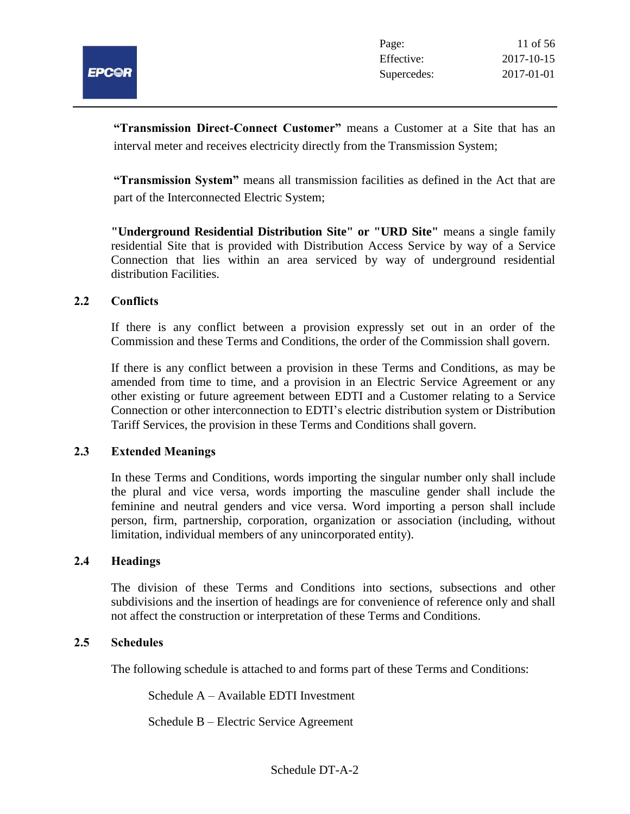

**"Transmission Direct-Connect Customer"** means a Customer at a Site that has an interval meter and receives electricity directly from the Transmission System;

**"Transmission System"** means all transmission facilities as defined in the Act that are part of the Interconnected Electric System;

**"Underground Residential Distribution Site" or "URD Site"** means a single family residential Site that is provided with Distribution Access Service by way of a Service Connection that lies within an area serviced by way of underground residential distribution Facilities.

#### **2.2 Conflicts**

If there is any conflict between a provision expressly set out in an order of the Commission and these Terms and Conditions, the order of the Commission shall govern.

If there is any conflict between a provision in these Terms and Conditions, as may be amended from time to time, and a provision in an Electric Service Agreement or any other existing or future agreement between EDTI and a Customer relating to a Service Connection or other interconnection to EDTI's electric distribution system or Distribution Tariff Services, the provision in these Terms and Conditions shall govern.

#### **2.3 Extended Meanings**

In these Terms and Conditions, words importing the singular number only shall include the plural and vice versa, words importing the masculine gender shall include the feminine and neutral genders and vice versa. Word importing a person shall include person, firm, partnership, corporation, organization or association (including, without limitation, individual members of any unincorporated entity).

#### **2.4 Headings**

The division of these Terms and Conditions into sections, subsections and other subdivisions and the insertion of headings are for convenience of reference only and shall not affect the construction or interpretation of these Terms and Conditions.

#### **2.5 Schedules**

The following schedule is attached to and forms part of these Terms and Conditions:

Schedule A – Available EDTI Investment

Schedule B – Electric Service Agreement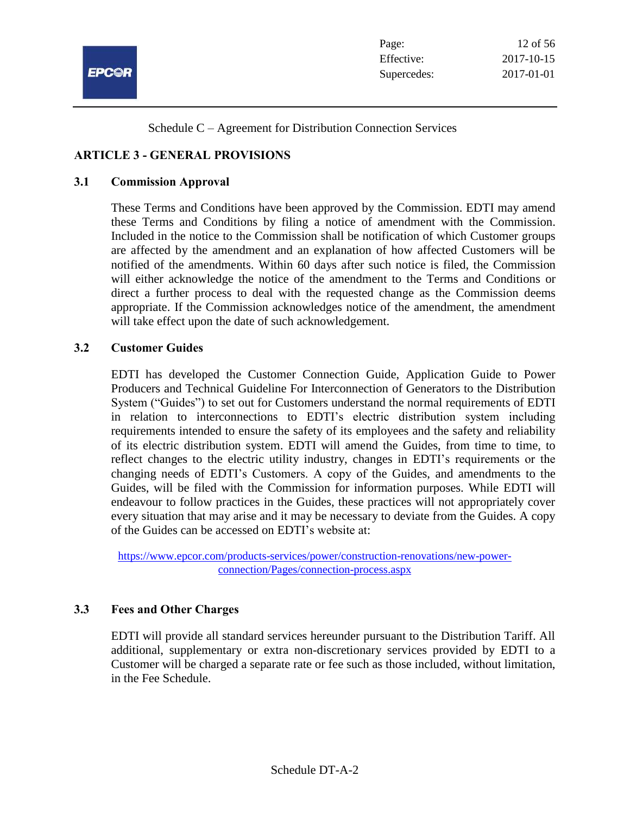

Schedule C – Agreement for Distribution Connection Services

## **ARTICLE 3 - GENERAL PROVISIONS**

#### **3.1 Commission Approval**

These Terms and Conditions have been approved by the Commission. EDTI may amend these Terms and Conditions by filing a notice of amendment with the Commission. Included in the notice to the Commission shall be notification of which Customer groups are affected by the amendment and an explanation of how affected Customers will be notified of the amendments. Within 60 days after such notice is filed, the Commission will either acknowledge the notice of the amendment to the Terms and Conditions or direct a further process to deal with the requested change as the Commission deems appropriate. If the Commission acknowledges notice of the amendment, the amendment will take effect upon the date of such acknowledgement.

#### **3.2 Customer Guides**

EDTI has developed the Customer Connection Guide, Application Guide to Power Producers and Technical Guideline For Interconnection of Generators to the Distribution System ("Guides") to set out for Customers understand the normal requirements of EDTI in relation to interconnections to EDTI's electric distribution system including requirements intended to ensure the safety of its employees and the safety and reliability of its electric distribution system. EDTI will amend the Guides, from time to time, to reflect changes to the electric utility industry, changes in EDTI's requirements or the changing needs of EDTI's Customers. A copy of the Guides, and amendments to the Guides, will be filed with the Commission for information purposes. While EDTI will endeavour to follow practices in the Guides, these practices will not appropriately cover every situation that may arise and it may be necessary to deviate from the Guides. A copy of the Guides can be accessed on EDTI's website at:

[https://www.epcor.com/products-services/power/construction-renovations/new-power](https://www.epcor.com/products-services/power/construction-renovations/new-power-connection/Pages/connection-process.aspx)[connection/Pages/connection-process.aspx](https://www.epcor.com/products-services/power/construction-renovations/new-power-connection/Pages/connection-process.aspx)

#### **3.3 Fees and Other Charges**

EDTI will provide all standard services hereunder pursuant to the Distribution Tariff. All additional, supplementary or extra non-discretionary services provided by EDTI to a Customer will be charged a separate rate or fee such as those included, without limitation, in the Fee Schedule.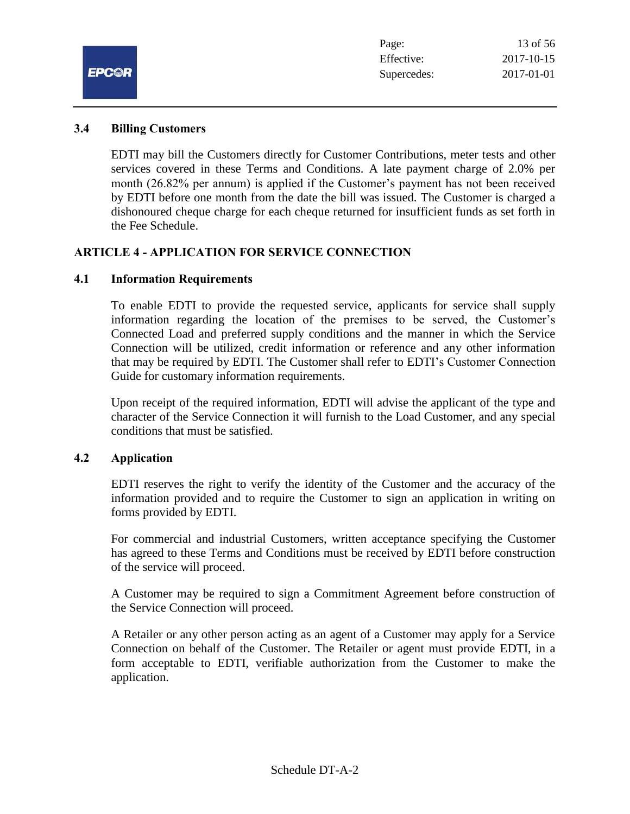

#### **3.4 Billing Customers**

EDTI may bill the Customers directly for Customer Contributions, meter tests and other services covered in these Terms and Conditions. A late payment charge of 2.0% per month (26.82% per annum) is applied if the Customer's payment has not been received by EDTI before one month from the date the bill was issued. The Customer is charged a dishonoured cheque charge for each cheque returned for insufficient funds as set forth in the Fee Schedule.

## **ARTICLE 4 - APPLICATION FOR SERVICE CONNECTION**

#### **4.1 Information Requirements**

To enable EDTI to provide the requested service, applicants for service shall supply information regarding the location of the premises to be served, the Customer's Connected Load and preferred supply conditions and the manner in which the Service Connection will be utilized, credit information or reference and any other information that may be required by EDTI. The Customer shall refer to EDTI's Customer Connection Guide for customary information requirements.

Upon receipt of the required information, EDTI will advise the applicant of the type and character of the Service Connection it will furnish to the Load Customer, and any special conditions that must be satisfied.

#### **4.2 Application**

EDTI reserves the right to verify the identity of the Customer and the accuracy of the information provided and to require the Customer to sign an application in writing on forms provided by EDTI.

For commercial and industrial Customers, written acceptance specifying the Customer has agreed to these Terms and Conditions must be received by EDTI before construction of the service will proceed.

A Customer may be required to sign a Commitment Agreement before construction of the Service Connection will proceed.

A Retailer or any other person acting as an agent of a Customer may apply for a Service Connection on behalf of the Customer. The Retailer or agent must provide EDTI, in a form acceptable to EDTI, verifiable authorization from the Customer to make the application.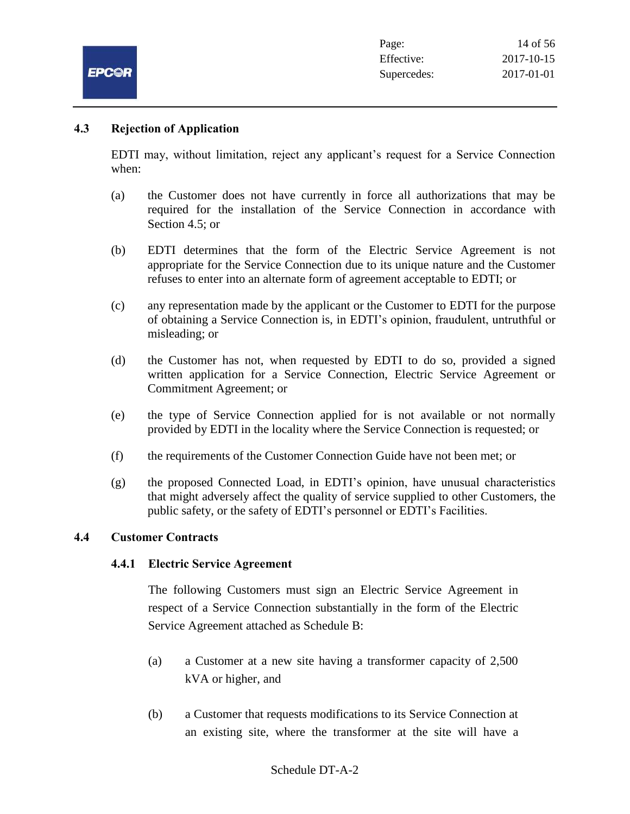

## **4.3 Rejection of Application**

EDTI may, without limitation, reject any applicant's request for a Service Connection when:

- (a) the Customer does not have currently in force all authorizations that may be required for the installation of the Service Connection in accordance with Section 4.5; or
- (b) EDTI determines that the form of the Electric Service Agreement is not appropriate for the Service Connection due to its unique nature and the Customer refuses to enter into an alternate form of agreement acceptable to EDTI; or
- (c) any representation made by the applicant or the Customer to EDTI for the purpose of obtaining a Service Connection is, in EDTI's opinion, fraudulent, untruthful or misleading; or
- (d) the Customer has not, when requested by EDTI to do so, provided a signed written application for a Service Connection, Electric Service Agreement or Commitment Agreement; or
- (e) the type of Service Connection applied for is not available or not normally provided by EDTI in the locality where the Service Connection is requested; or
- (f) the requirements of the Customer Connection Guide have not been met; or
- (g) the proposed Connected Load, in EDTI's opinion, have unusual characteristics that might adversely affect the quality of service supplied to other Customers, the public safety, or the safety of EDTI's personnel or EDTI's Facilities.

#### **4.4 Customer Contracts**

#### **4.4.1 Electric Service Agreement**

The following Customers must sign an Electric Service Agreement in respect of a Service Connection substantially in the form of the Electric Service Agreement attached as Schedule B:

- (a) a Customer at a new site having a transformer capacity of 2,500 kVA or higher, and
- (b) a Customer that requests modifications to its Service Connection at an existing site, where the transformer at the site will have a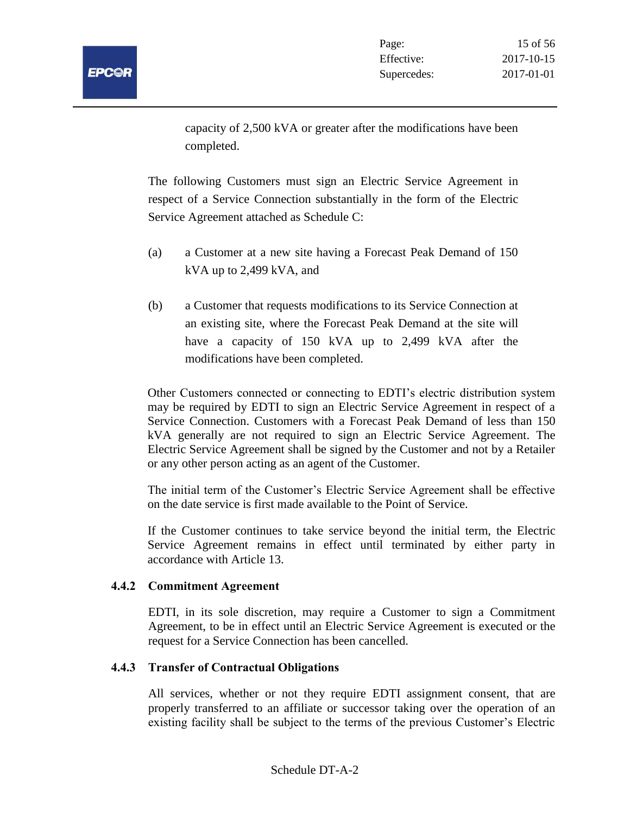

capacity of 2,500 kVA or greater after the modifications have been completed.

The following Customers must sign an Electric Service Agreement in respect of a Service Connection substantially in the form of the Electric Service Agreement attached as Schedule C:

- (a) a Customer at a new site having a Forecast Peak Demand of 150 kVA up to 2,499 kVA, and
- (b) a Customer that requests modifications to its Service Connection at an existing site, where the Forecast Peak Demand at the site will have a capacity of 150 kVA up to 2,499 kVA after the modifications have been completed.

Other Customers connected or connecting to EDTI's electric distribution system may be required by EDTI to sign an Electric Service Agreement in respect of a Service Connection. Customers with a Forecast Peak Demand of less than 150 kVA generally are not required to sign an Electric Service Agreement. The Electric Service Agreement shall be signed by the Customer and not by a Retailer or any other person acting as an agent of the Customer.

The initial term of the Customer's Electric Service Agreement shall be effective on the date service is first made available to the Point of Service.

If the Customer continues to take service beyond the initial term, the Electric Service Agreement remains in effect until terminated by either party in accordance with Article 13.

#### **4.4.2 Commitment Agreement**

EDTI, in its sole discretion, may require a Customer to sign a Commitment Agreement, to be in effect until an Electric Service Agreement is executed or the request for a Service Connection has been cancelled.

## **4.4.3 Transfer of Contractual Obligations**

All services, whether or not they require EDTI assignment consent, that are properly transferred to an affiliate or successor taking over the operation of an existing facility shall be subject to the terms of the previous Customer's Electric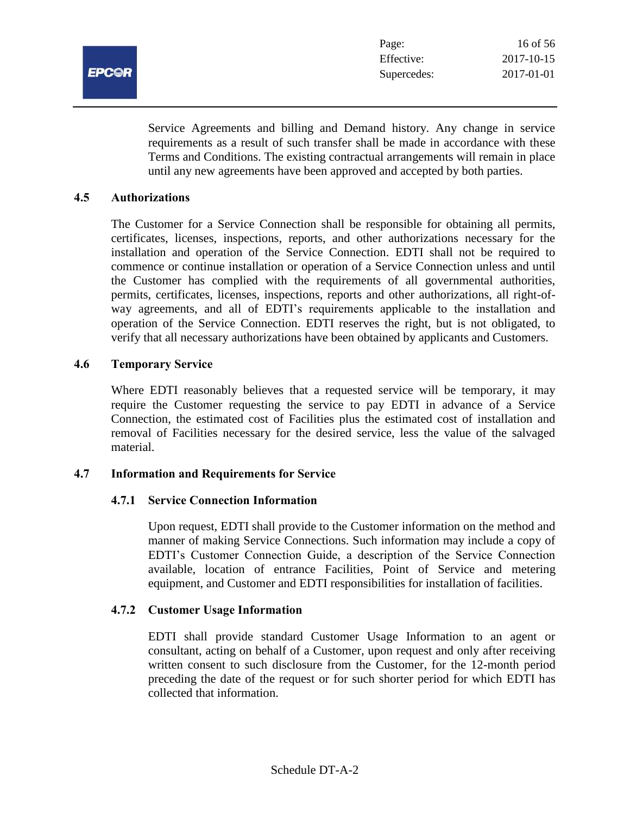

Service Agreements and billing and Demand history. Any change in service requirements as a result of such transfer shall be made in accordance with these Terms and Conditions. The existing contractual arrangements will remain in place until any new agreements have been approved and accepted by both parties.

#### **4.5 Authorizations**

The Customer for a Service Connection shall be responsible for obtaining all permits, certificates, licenses, inspections, reports, and other authorizations necessary for the installation and operation of the Service Connection. EDTI shall not be required to commence or continue installation or operation of a Service Connection unless and until the Customer has complied with the requirements of all governmental authorities, permits, certificates, licenses, inspections, reports and other authorizations, all right-ofway agreements, and all of EDTI's requirements applicable to the installation and operation of the Service Connection. EDTI reserves the right, but is not obligated, to verify that all necessary authorizations have been obtained by applicants and Customers.

#### **4.6 Temporary Service**

Where EDTI reasonably believes that a requested service will be temporary, it may require the Customer requesting the service to pay EDTI in advance of a Service Connection, the estimated cost of Facilities plus the estimated cost of installation and removal of Facilities necessary for the desired service, less the value of the salvaged material.

#### **4.7 Information and Requirements for Service**

#### **4.7.1 Service Connection Information**

Upon request, EDTI shall provide to the Customer information on the method and manner of making Service Connections. Such information may include a copy of EDTI's Customer Connection Guide, a description of the Service Connection available, location of entrance Facilities, Point of Service and metering equipment, and Customer and EDTI responsibilities for installation of facilities.

#### **4.7.2 Customer Usage Information**

EDTI shall provide standard Customer Usage Information to an agent or consultant, acting on behalf of a Customer, upon request and only after receiving written consent to such disclosure from the Customer, for the 12-month period preceding the date of the request or for such shorter period for which EDTI has collected that information.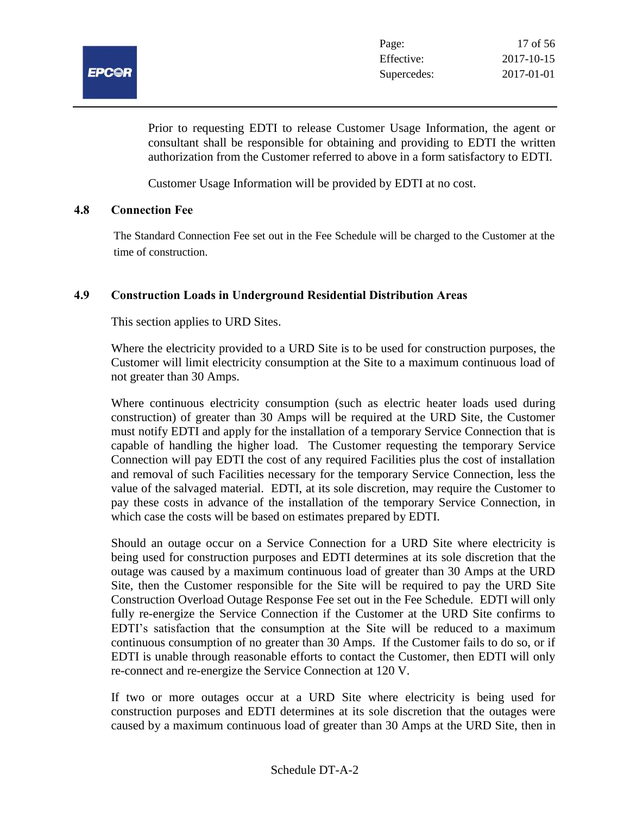

Prior to requesting EDTI to release Customer Usage Information, the agent or consultant shall be responsible for obtaining and providing to EDTI the written authorization from the Customer referred to above in a form satisfactory to EDTI.

Customer Usage Information will be provided by EDTI at no cost.

#### **4.8 Connection Fee**

The Standard Connection Fee set out in the Fee Schedule will be charged to the Customer at the time of construction.

## **4.9 Construction Loads in Underground Residential Distribution Areas**

This section applies to URD Sites.

Where the electricity provided to a URD Site is to be used for construction purposes, the Customer will limit electricity consumption at the Site to a maximum continuous load of not greater than 30 Amps.

Where continuous electricity consumption (such as electric heater loads used during construction) of greater than 30 Amps will be required at the URD Site, the Customer must notify EDTI and apply for the installation of a temporary Service Connection that is capable of handling the higher load. The Customer requesting the temporary Service Connection will pay EDTI the cost of any required Facilities plus the cost of installation and removal of such Facilities necessary for the temporary Service Connection, less the value of the salvaged material. EDTI, at its sole discretion, may require the Customer to pay these costs in advance of the installation of the temporary Service Connection, in which case the costs will be based on estimates prepared by EDTI.

Should an outage occur on a Service Connection for a URD Site where electricity is being used for construction purposes and EDTI determines at its sole discretion that the outage was caused by a maximum continuous load of greater than 30 Amps at the URD Site, then the Customer responsible for the Site will be required to pay the URD Site Construction Overload Outage Response Fee set out in the Fee Schedule. EDTI will only fully re-energize the Service Connection if the Customer at the URD Site confirms to EDTI's satisfaction that the consumption at the Site will be reduced to a maximum continuous consumption of no greater than 30 Amps. If the Customer fails to do so, or if EDTI is unable through reasonable efforts to contact the Customer, then EDTI will only re-connect and re-energize the Service Connection at 120 V.

If two or more outages occur at a URD Site where electricity is being used for construction purposes and EDTI determines at its sole discretion that the outages were caused by a maximum continuous load of greater than 30 Amps at the URD Site, then in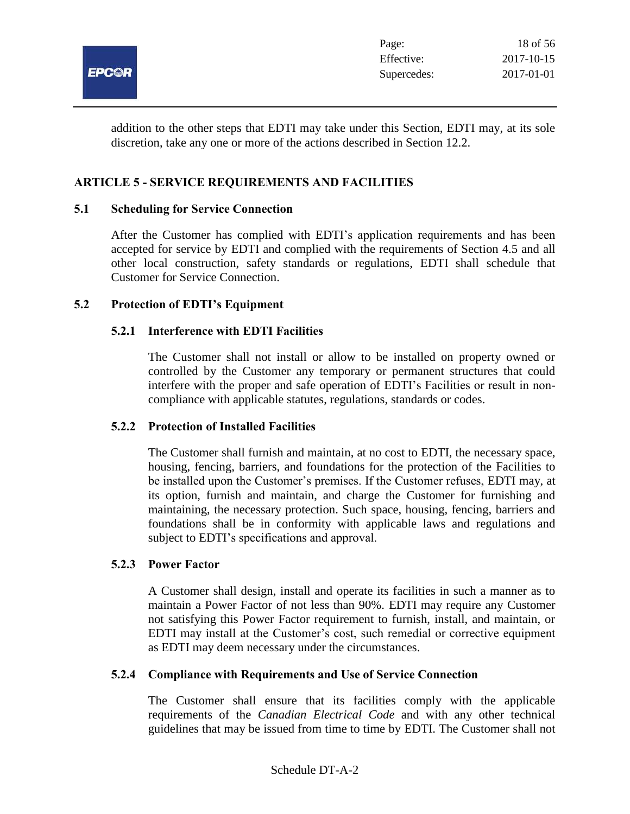

addition to the other steps that EDTI may take under this Section, EDTI may, at its sole discretion, take any one or more of the actions described in Section 12.2.

## **ARTICLE 5 - SERVICE REQUIREMENTS AND FACILITIES**

#### **5.1 Scheduling for Service Connection**

After the Customer has complied with EDTI's application requirements and has been accepted for service by EDTI and complied with the requirements of Section 4.5 and all other local construction, safety standards or regulations, EDTI shall schedule that Customer for Service Connection.

#### **5.2 Protection of EDTI's Equipment**

#### **5.2.1 Interference with EDTI Facilities**

The Customer shall not install or allow to be installed on property owned or controlled by the Customer any temporary or permanent structures that could interfere with the proper and safe operation of EDTI's Facilities or result in noncompliance with applicable statutes, regulations, standards or codes.

#### **5.2.2 Protection of Installed Facilities**

The Customer shall furnish and maintain, at no cost to EDTI, the necessary space, housing, fencing, barriers, and foundations for the protection of the Facilities to be installed upon the Customer's premises. If the Customer refuses, EDTI may, at its option, furnish and maintain, and charge the Customer for furnishing and maintaining, the necessary protection. Such space, housing, fencing, barriers and foundations shall be in conformity with applicable laws and regulations and subject to EDTI's specifications and approval.

#### **5.2.3 Power Factor**

A Customer shall design, install and operate its facilities in such a manner as to maintain a Power Factor of not less than 90%. EDTI may require any Customer not satisfying this Power Factor requirement to furnish, install, and maintain, or EDTI may install at the Customer's cost, such remedial or corrective equipment as EDTI may deem necessary under the circumstances.

#### **5.2.4 Compliance with Requirements and Use of Service Connection**

The Customer shall ensure that its facilities comply with the applicable requirements of the *Canadian Electrical Code* and with any other technical guidelines that may be issued from time to time by EDTI. The Customer shall not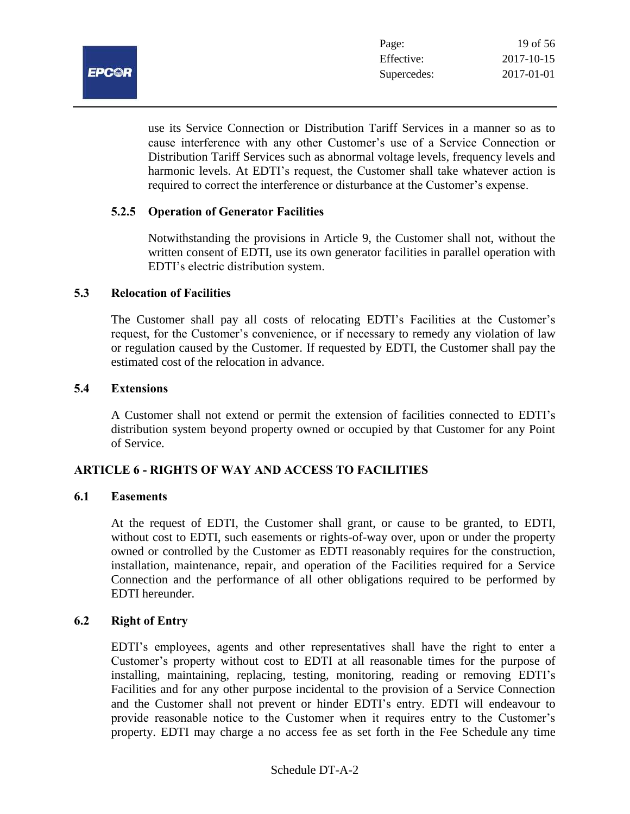

use its Service Connection or Distribution Tariff Services in a manner so as to cause interference with any other Customer's use of a Service Connection or Distribution Tariff Services such as abnormal voltage levels, frequency levels and harmonic levels. At EDTI's request, the Customer shall take whatever action is required to correct the interference or disturbance at the Customer's expense.

## **5.2.5 Operation of Generator Facilities**

Notwithstanding the provisions in Article 9, the Customer shall not, without the written consent of EDTI, use its own generator facilities in parallel operation with EDTI's electric distribution system.

#### **5.3 Relocation of Facilities**

The Customer shall pay all costs of relocating EDTI's Facilities at the Customer's request, for the Customer's convenience, or if necessary to remedy any violation of law or regulation caused by the Customer. If requested by EDTI, the Customer shall pay the estimated cost of the relocation in advance.

#### **5.4 Extensions**

A Customer shall not extend or permit the extension of facilities connected to EDTI's distribution system beyond property owned or occupied by that Customer for any Point of Service.

#### **ARTICLE 6 - RIGHTS OF WAY AND ACCESS TO FACILITIES**

#### **6.1 Easements**

At the request of EDTI, the Customer shall grant, or cause to be granted, to EDTI, without cost to EDTI, such easements or rights-of-way over, upon or under the property owned or controlled by the Customer as EDTI reasonably requires for the construction, installation, maintenance, repair, and operation of the Facilities required for a Service Connection and the performance of all other obligations required to be performed by EDTI hereunder.

#### **6.2 Right of Entry**

EDTI's employees, agents and other representatives shall have the right to enter a Customer's property without cost to EDTI at all reasonable times for the purpose of installing, maintaining, replacing, testing, monitoring, reading or removing EDTI's Facilities and for any other purpose incidental to the provision of a Service Connection and the Customer shall not prevent or hinder EDTI's entry. EDTI will endeavour to provide reasonable notice to the Customer when it requires entry to the Customer's property. EDTI may charge a no access fee as set forth in the Fee Schedule any time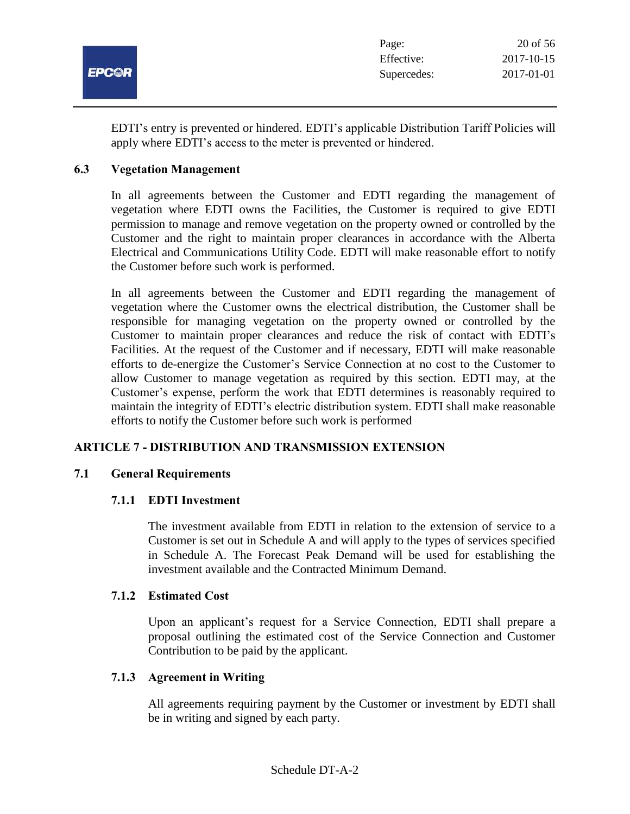

EDTI's entry is prevented or hindered. EDTI's applicable Distribution Tariff Policies will apply where EDTI's access to the meter is prevented or hindered.

#### **6.3 Vegetation Management**

In all agreements between the Customer and EDTI regarding the management of vegetation where EDTI owns the Facilities, the Customer is required to give EDTI permission to manage and remove vegetation on the property owned or controlled by the Customer and the right to maintain proper clearances in accordance with the Alberta Electrical and Communications Utility Code. EDTI will make reasonable effort to notify the Customer before such work is performed.

In all agreements between the Customer and EDTI regarding the management of vegetation where the Customer owns the electrical distribution, the Customer shall be responsible for managing vegetation on the property owned or controlled by the Customer to maintain proper clearances and reduce the risk of contact with EDTI's Facilities. At the request of the Customer and if necessary, EDTI will make reasonable efforts to de-energize the Customer's Service Connection at no cost to the Customer to allow Customer to manage vegetation as required by this section. EDTI may, at the Customer's expense, perform the work that EDTI determines is reasonably required to maintain the integrity of EDTI's electric distribution system. EDTI shall make reasonable efforts to notify the Customer before such work is performed

## **ARTICLE 7 - DISTRIBUTION AND TRANSMISSION EXTENSION**

#### **7.1 General Requirements**

#### **7.1.1 EDTI Investment**

The investment available from EDTI in relation to the extension of service to a Customer is set out in Schedule A and will apply to the types of services specified in Schedule A. The Forecast Peak Demand will be used for establishing the investment available and the Contracted Minimum Demand.

#### **7.1.2 Estimated Cost**

Upon an applicant's request for a Service Connection, EDTI shall prepare a proposal outlining the estimated cost of the Service Connection and Customer Contribution to be paid by the applicant.

#### **7.1.3 Agreement in Writing**

All agreements requiring payment by the Customer or investment by EDTI shall be in writing and signed by each party.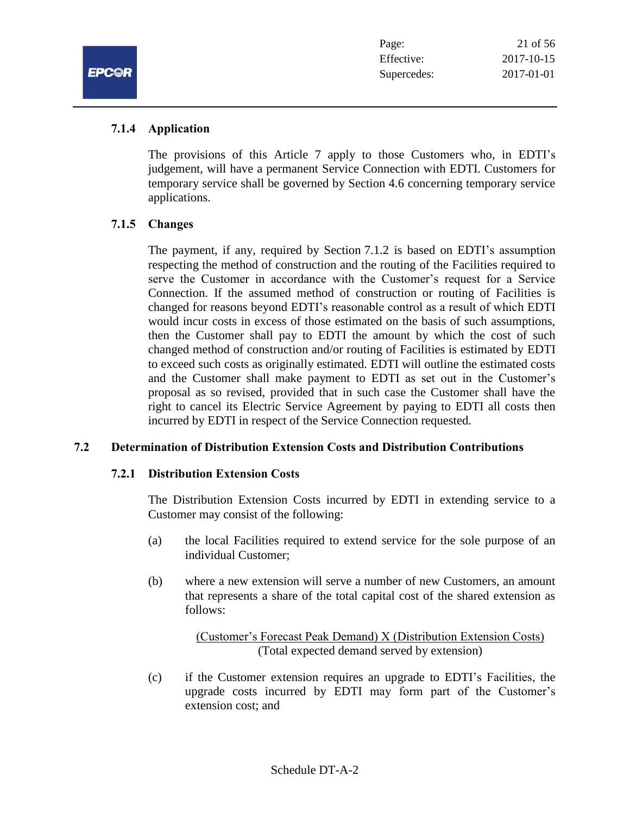

#### **7.1.4 Application**

The provisions of this Article 7 apply to those Customers who, in EDTI's judgement, will have a permanent Service Connection with EDTI. Customers for temporary service shall be governed by Section 4.6 concerning temporary service applications.

## **7.1.5 Changes**

The payment, if any, required by Section 7.1.2 is based on EDTI's assumption respecting the method of construction and the routing of the Facilities required to serve the Customer in accordance with the Customer's request for a Service Connection. If the assumed method of construction or routing of Facilities is changed for reasons beyond EDTI's reasonable control as a result of which EDTI would incur costs in excess of those estimated on the basis of such assumptions, then the Customer shall pay to EDTI the amount by which the cost of such changed method of construction and/or routing of Facilities is estimated by EDTI to exceed such costs as originally estimated. EDTI will outline the estimated costs and the Customer shall make payment to EDTI as set out in the Customer's proposal as so revised, provided that in such case the Customer shall have the right to cancel its Electric Service Agreement by paying to EDTI all costs then incurred by EDTI in respect of the Service Connection requested.

## **7.2 Determination of Distribution Extension Costs and Distribution Contributions**

#### **7.2.1 Distribution Extension Costs**

The Distribution Extension Costs incurred by EDTI in extending service to a Customer may consist of the following:

- (a) the local Facilities required to extend service for the sole purpose of an individual Customer;
- (b) where a new extension will serve a number of new Customers, an amount that represents a share of the total capital cost of the shared extension as follows:

(Customer's Forecast Peak Demand) X (Distribution Extension Costs) (Total expected demand served by extension)

(c) if the Customer extension requires an upgrade to EDTI's Facilities, the upgrade costs incurred by EDTI may form part of the Customer's extension cost; and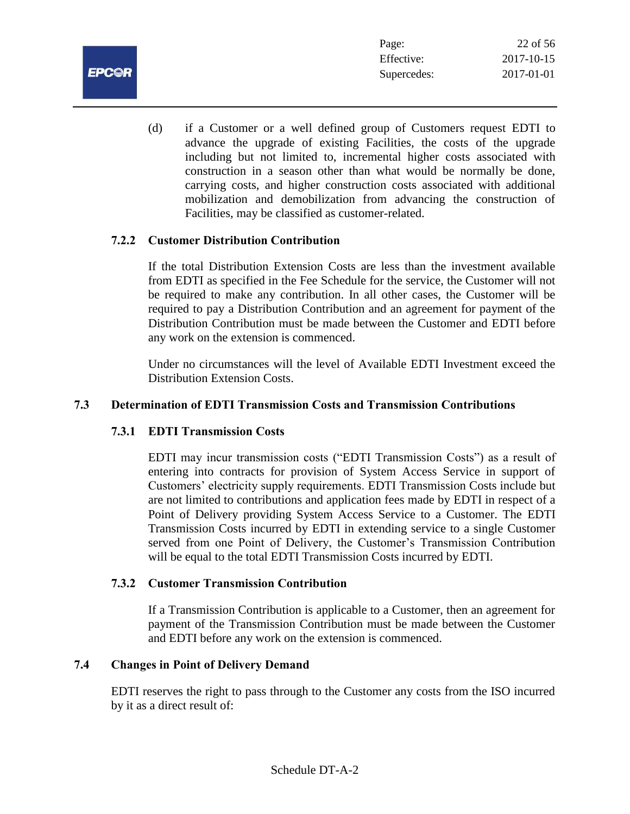

(d) if a Customer or a well defined group of Customers request EDTI to advance the upgrade of existing Facilities, the costs of the upgrade including but not limited to, incremental higher costs associated with construction in a season other than what would be normally be done, carrying costs, and higher construction costs associated with additional mobilization and demobilization from advancing the construction of Facilities, may be classified as customer-related.

## **7.2.2 Customer Distribution Contribution**

If the total Distribution Extension Costs are less than the investment available from EDTI as specified in the Fee Schedule for the service, the Customer will not be required to make any contribution. In all other cases, the Customer will be required to pay a Distribution Contribution and an agreement for payment of the Distribution Contribution must be made between the Customer and EDTI before any work on the extension is commenced.

Under no circumstances will the level of Available EDTI Investment exceed the Distribution Extension Costs.

#### **7.3 Determination of EDTI Transmission Costs and Transmission Contributions**

## **7.3.1 EDTI Transmission Costs**

EDTI may incur transmission costs ("EDTI Transmission Costs") as a result of entering into contracts for provision of System Access Service in support of Customers' electricity supply requirements. EDTI Transmission Costs include but are not limited to contributions and application fees made by EDTI in respect of a Point of Delivery providing System Access Service to a Customer. The EDTI Transmission Costs incurred by EDTI in extending service to a single Customer served from one Point of Delivery, the Customer's Transmission Contribution will be equal to the total EDTI Transmission Costs incurred by EDTI.

#### **7.3.2 Customer Transmission Contribution**

If a Transmission Contribution is applicable to a Customer, then an agreement for payment of the Transmission Contribution must be made between the Customer and EDTI before any work on the extension is commenced.

## **7.4 Changes in Point of Delivery Demand**

EDTI reserves the right to pass through to the Customer any costs from the ISO incurred by it as a direct result of: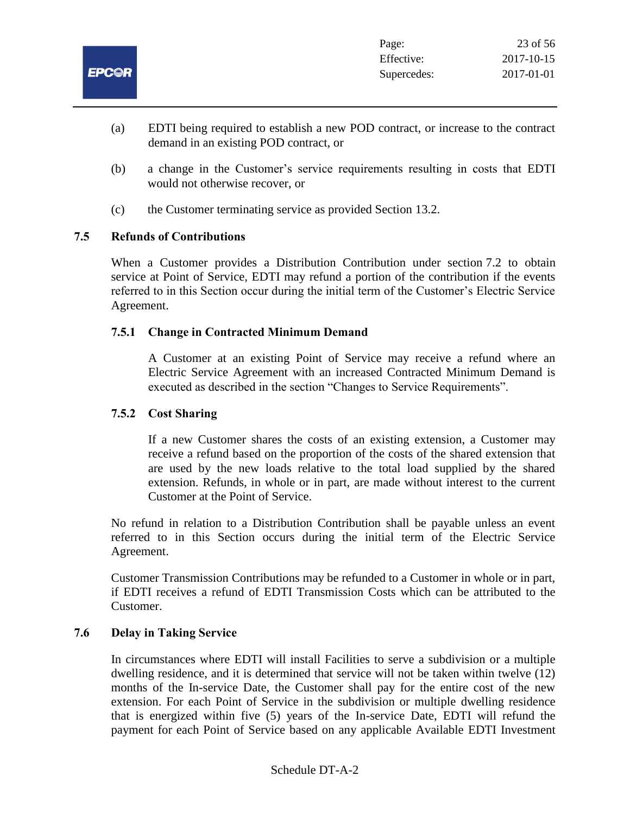

- (a) EDTI being required to establish a new POD contract, or increase to the contract demand in an existing POD contract, or
- (b) a change in the Customer's service requirements resulting in costs that EDTI would not otherwise recover, or
- (c) the Customer terminating service as provided Section 13.2.

## **7.5 Refunds of Contributions**

When a Customer provides a Distribution Contribution under section 7.2 to obtain service at Point of Service, EDTI may refund a portion of the contribution if the events referred to in this Section occur during the initial term of the Customer's Electric Service Agreement.

## **7.5.1 Change in Contracted Minimum Demand**

A Customer at an existing Point of Service may receive a refund where an Electric Service Agreement with an increased Contracted Minimum Demand is executed as described in the section "Changes to Service Requirements".

#### **7.5.2 Cost Sharing**

If a new Customer shares the costs of an existing extension, a Customer may receive a refund based on the proportion of the costs of the shared extension that are used by the new loads relative to the total load supplied by the shared extension. Refunds, in whole or in part, are made without interest to the current Customer at the Point of Service.

No refund in relation to a Distribution Contribution shall be payable unless an event referred to in this Section occurs during the initial term of the Electric Service Agreement.

Customer Transmission Contributions may be refunded to a Customer in whole or in part, if EDTI receives a refund of EDTI Transmission Costs which can be attributed to the Customer.

#### **7.6 Delay in Taking Service**

In circumstances where EDTI will install Facilities to serve a subdivision or a multiple dwelling residence, and it is determined that service will not be taken within twelve (12) months of the In-service Date, the Customer shall pay for the entire cost of the new extension. For each Point of Service in the subdivision or multiple dwelling residence that is energized within five (5) years of the In-service Date, EDTI will refund the payment for each Point of Service based on any applicable Available EDTI Investment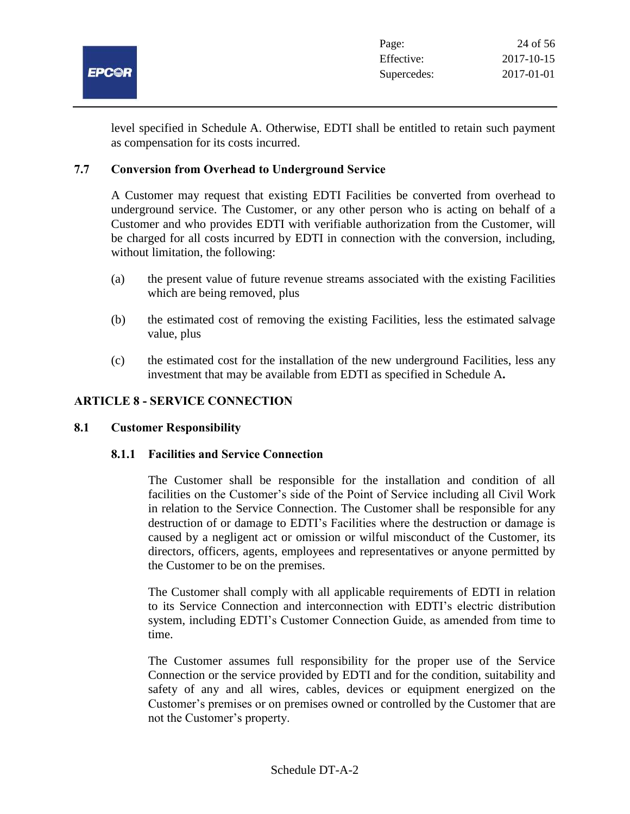

level specified in Schedule A. Otherwise, EDTI shall be entitled to retain such payment as compensation for its costs incurred.

## **7.7 Conversion from Overhead to Underground Service**

A Customer may request that existing EDTI Facilities be converted from overhead to underground service. The Customer, or any other person who is acting on behalf of a Customer and who provides EDTI with verifiable authorization from the Customer, will be charged for all costs incurred by EDTI in connection with the conversion, including, without limitation, the following:

- (a) the present value of future revenue streams associated with the existing Facilities which are being removed, plus
- (b) the estimated cost of removing the existing Facilities, less the estimated salvage value, plus
- (c) the estimated cost for the installation of the new underground Facilities, less any investment that may be available from EDTI as specified in Schedule A**.**

## **ARTICLE 8 - SERVICE CONNECTION**

#### **8.1 Customer Responsibility**

#### **8.1.1 Facilities and Service Connection**

The Customer shall be responsible for the installation and condition of all facilities on the Customer's side of the Point of Service including all Civil Work in relation to the Service Connection. The Customer shall be responsible for any destruction of or damage to EDTI's Facilities where the destruction or damage is caused by a negligent act or omission or wilful misconduct of the Customer, its directors, officers, agents, employees and representatives or anyone permitted by the Customer to be on the premises.

The Customer shall comply with all applicable requirements of EDTI in relation to its Service Connection and interconnection with EDTI's electric distribution system, including EDTI's Customer Connection Guide, as amended from time to time.

The Customer assumes full responsibility for the proper use of the Service Connection or the service provided by EDTI and for the condition, suitability and safety of any and all wires, cables, devices or equipment energized on the Customer's premises or on premises owned or controlled by the Customer that are not the Customer's property.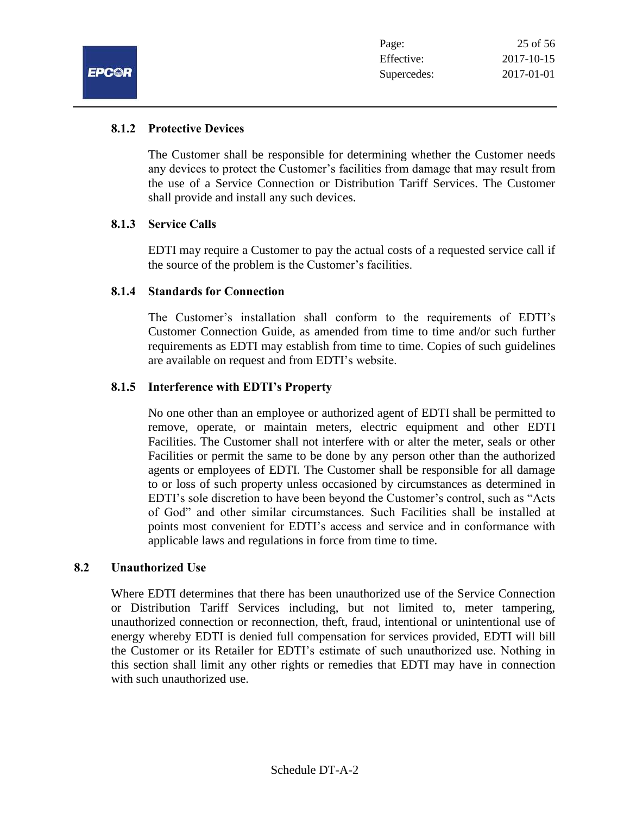## **8.1.2 Protective Devices**

The Customer shall be responsible for determining whether the Customer needs any devices to protect the Customer's facilities from damage that may result from the use of a Service Connection or Distribution Tariff Services. The Customer shall provide and install any such devices.

#### **8.1.3 Service Calls**

EDTI may require a Customer to pay the actual costs of a requested service call if the source of the problem is the Customer's facilities.

## **8.1.4 Standards for Connection**

The Customer's installation shall conform to the requirements of EDTI's Customer Connection Guide, as amended from time to time and/or such further requirements as EDTI may establish from time to time. Copies of such guidelines are available on request and from EDTI's website.

## **8.1.5 Interference with EDTI's Property**

No one other than an employee or authorized agent of EDTI shall be permitted to remove, operate, or maintain meters, electric equipment and other EDTI Facilities. The Customer shall not interfere with or alter the meter, seals or other Facilities or permit the same to be done by any person other than the authorized agents or employees of EDTI. The Customer shall be responsible for all damage to or loss of such property unless occasioned by circumstances as determined in EDTI's sole discretion to have been beyond the Customer's control, such as "Acts of God" and other similar circumstances. Such Facilities shall be installed at points most convenient for EDTI's access and service and in conformance with applicable laws and regulations in force from time to time.

#### **8.2 Unauthorized Use**

Where EDTI determines that there has been unauthorized use of the Service Connection or Distribution Tariff Services including, but not limited to, meter tampering, unauthorized connection or reconnection, theft, fraud, intentional or unintentional use of energy whereby EDTI is denied full compensation for services provided, EDTI will bill the Customer or its Retailer for EDTI's estimate of such unauthorized use. Nothing in this section shall limit any other rights or remedies that EDTI may have in connection with such unauthorized use.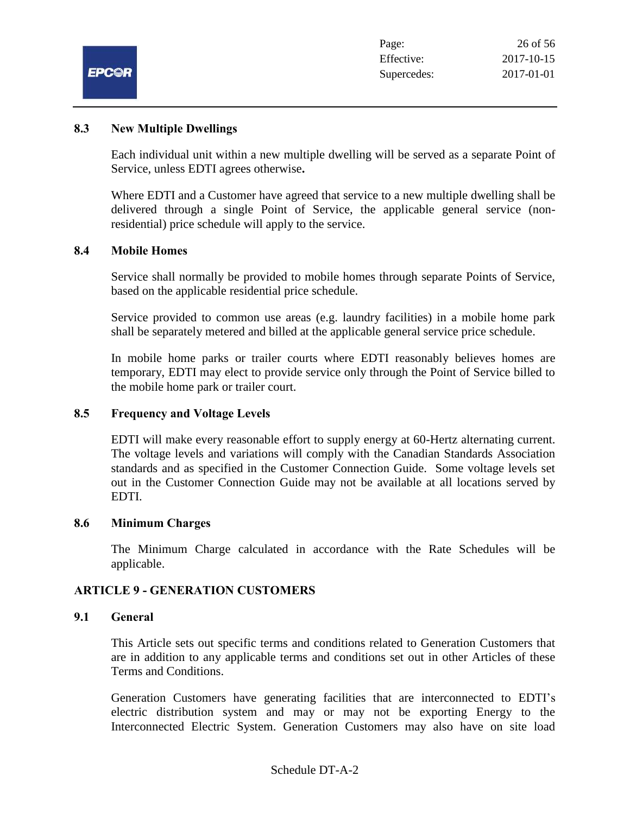|              | Page:       | 26 of 56   |
|--------------|-------------|------------|
|              | Effective:  | 2017-10-15 |
| <b>EPC@R</b> | Supercedes: | 2017-01-01 |

#### **8.3 New Multiple Dwellings**

Each individual unit within a new multiple dwelling will be served as a separate Point of Service, unless EDTI agrees otherwise**.**

Where EDTI and a Customer have agreed that service to a new multiple dwelling shall be delivered through a single Point of Service, the applicable general service (nonresidential) price schedule will apply to the service.

#### **8.4 Mobile Homes**

Service shall normally be provided to mobile homes through separate Points of Service, based on the applicable residential price schedule.

Service provided to common use areas (e.g. laundry facilities) in a mobile home park shall be separately metered and billed at the applicable general service price schedule.

In mobile home parks or trailer courts where EDTI reasonably believes homes are temporary, EDTI may elect to provide service only through the Point of Service billed to the mobile home park or trailer court.

#### **8.5 Frequency and Voltage Levels**

EDTI will make every reasonable effort to supply energy at 60-Hertz alternating current. The voltage levels and variations will comply with the Canadian Standards Association standards and as specified in the Customer Connection Guide. Some voltage levels set out in the Customer Connection Guide may not be available at all locations served by EDTI.

#### **8.6 Minimum Charges**

The Minimum Charge calculated in accordance with the Rate Schedules will be applicable.

#### **ARTICLE 9 - GENERATION CUSTOMERS**

#### **9.1 General**

This Article sets out specific terms and conditions related to Generation Customers that are in addition to any applicable terms and conditions set out in other Articles of these Terms and Conditions.

Generation Customers have generating facilities that are interconnected to EDTI's electric distribution system and may or may not be exporting Energy to the Interconnected Electric System. Generation Customers may also have on site load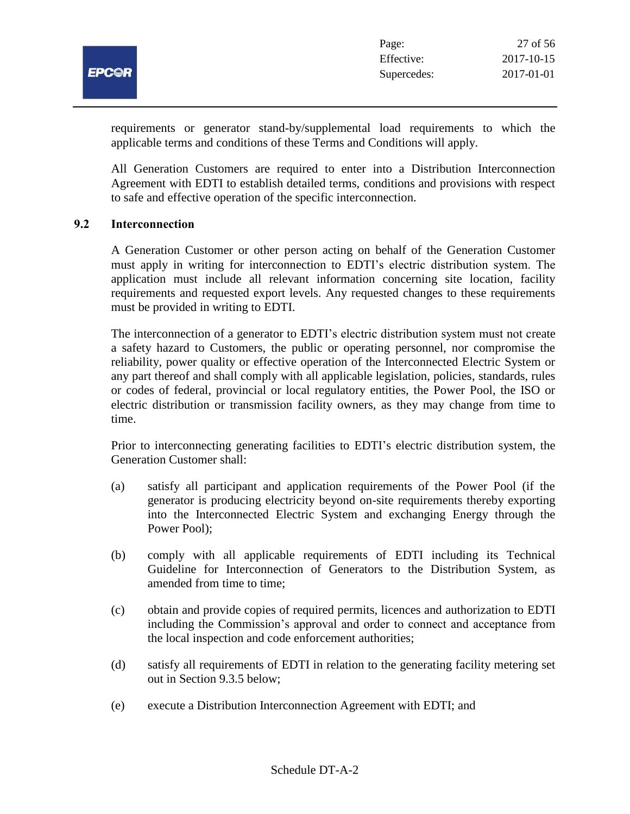

requirements or generator stand-by/supplemental load requirements to which the applicable terms and conditions of these Terms and Conditions will apply.

All Generation Customers are required to enter into a Distribution Interconnection Agreement with EDTI to establish detailed terms, conditions and provisions with respect to safe and effective operation of the specific interconnection.

#### **9.2 Interconnection**

A Generation Customer or other person acting on behalf of the Generation Customer must apply in writing for interconnection to EDTI's electric distribution system. The application must include all relevant information concerning site location, facility requirements and requested export levels. Any requested changes to these requirements must be provided in writing to EDTI.

The interconnection of a generator to EDTI's electric distribution system must not create a safety hazard to Customers, the public or operating personnel, nor compromise the reliability, power quality or effective operation of the Interconnected Electric System or any part thereof and shall comply with all applicable legislation, policies, standards, rules or codes of federal, provincial or local regulatory entities, the Power Pool, the ISO or electric distribution or transmission facility owners, as they may change from time to time.

Prior to interconnecting generating facilities to EDTI's electric distribution system, the Generation Customer shall:

- (a) satisfy all participant and application requirements of the Power Pool (if the generator is producing electricity beyond on-site requirements thereby exporting into the Interconnected Electric System and exchanging Energy through the Power Pool);
- (b) comply with all applicable requirements of EDTI including its Technical Guideline for Interconnection of Generators to the Distribution System, as amended from time to time;
- (c) obtain and provide copies of required permits, licences and authorization to EDTI including the Commission's approval and order to connect and acceptance from the local inspection and code enforcement authorities;
- (d) satisfy all requirements of EDTI in relation to the generating facility metering set out in Section 9.3.5 below;
- (e) execute a Distribution Interconnection Agreement with EDTI; and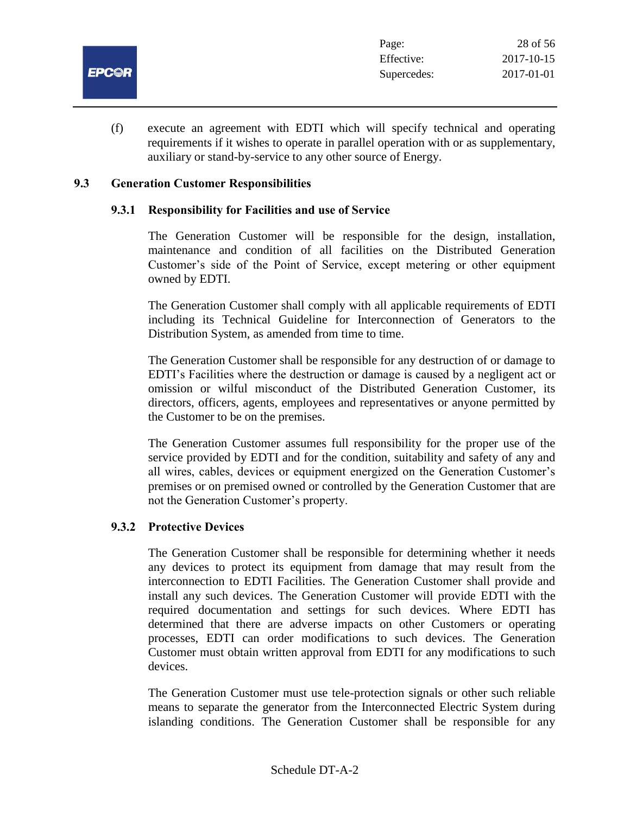

(f) execute an agreement with EDTI which will specify technical and operating requirements if it wishes to operate in parallel operation with or as supplementary, auxiliary or stand-by-service to any other source of Energy.

#### **9.3 Generation Customer Responsibilities**

#### **9.3.1 Responsibility for Facilities and use of Service**

The Generation Customer will be responsible for the design, installation, maintenance and condition of all facilities on the Distributed Generation Customer's side of the Point of Service, except metering or other equipment owned by EDTI.

The Generation Customer shall comply with all applicable requirements of EDTI including its Technical Guideline for Interconnection of Generators to the Distribution System, as amended from time to time.

The Generation Customer shall be responsible for any destruction of or damage to EDTI's Facilities where the destruction or damage is caused by a negligent act or omission or wilful misconduct of the Distributed Generation Customer, its directors, officers, agents, employees and representatives or anyone permitted by the Customer to be on the premises.

The Generation Customer assumes full responsibility for the proper use of the service provided by EDTI and for the condition, suitability and safety of any and all wires, cables, devices or equipment energized on the Generation Customer's premises or on premised owned or controlled by the Generation Customer that are not the Generation Customer's property.

#### **9.3.2 Protective Devices**

The Generation Customer shall be responsible for determining whether it needs any devices to protect its equipment from damage that may result from the interconnection to EDTI Facilities. The Generation Customer shall provide and install any such devices. The Generation Customer will provide EDTI with the required documentation and settings for such devices. Where EDTI has determined that there are adverse impacts on other Customers or operating processes, EDTI can order modifications to such devices. The Generation Customer must obtain written approval from EDTI for any modifications to such devices.

The Generation Customer must use tele-protection signals or other such reliable means to separate the generator from the Interconnected Electric System during islanding conditions. The Generation Customer shall be responsible for any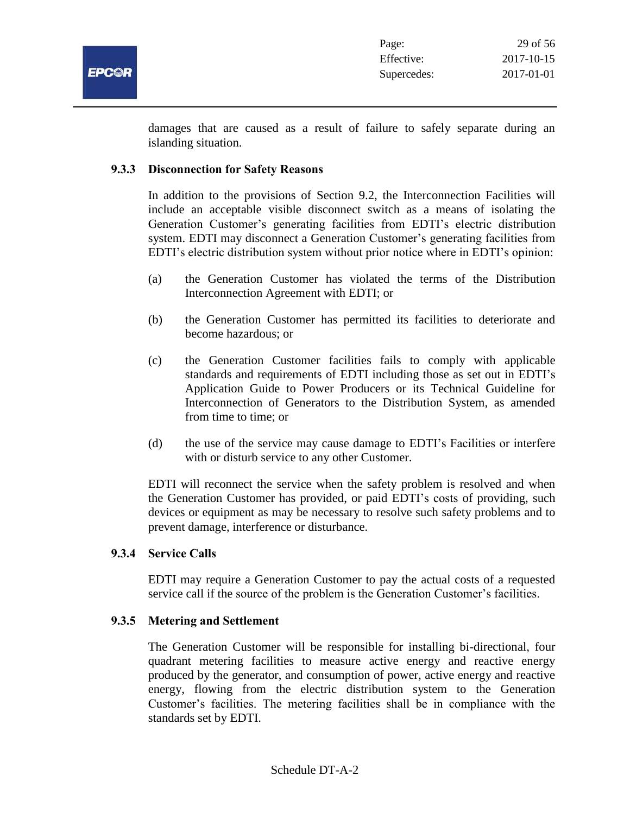

damages that are caused as a result of failure to safely separate during an islanding situation.

#### **9.3.3 Disconnection for Safety Reasons**

In addition to the provisions of Section 9.2, the Interconnection Facilities will include an acceptable visible disconnect switch as a means of isolating the Generation Customer's generating facilities from EDTI's electric distribution system. EDTI may disconnect a Generation Customer's generating facilities from EDTI's electric distribution system without prior notice where in EDTI's opinion:

- (a) the Generation Customer has violated the terms of the Distribution Interconnection Agreement with EDTI; or
- (b) the Generation Customer has permitted its facilities to deteriorate and become hazardous; or
- (c) the Generation Customer facilities fails to comply with applicable standards and requirements of EDTI including those as set out in EDTI's Application Guide to Power Producers or its Technical Guideline for Interconnection of Generators to the Distribution System, as amended from time to time; or
- (d) the use of the service may cause damage to EDTI's Facilities or interfere with or disturb service to any other Customer.

EDTI will reconnect the service when the safety problem is resolved and when the Generation Customer has provided, or paid EDTI's costs of providing, such devices or equipment as may be necessary to resolve such safety problems and to prevent damage, interference or disturbance.

#### **9.3.4 Service Calls**

EDTI may require a Generation Customer to pay the actual costs of a requested service call if the source of the problem is the Generation Customer's facilities.

#### **9.3.5 Metering and Settlement**

The Generation Customer will be responsible for installing bi-directional, four quadrant metering facilities to measure active energy and reactive energy produced by the generator, and consumption of power, active energy and reactive energy, flowing from the electric distribution system to the Generation Customer's facilities. The metering facilities shall be in compliance with the standards set by EDTI.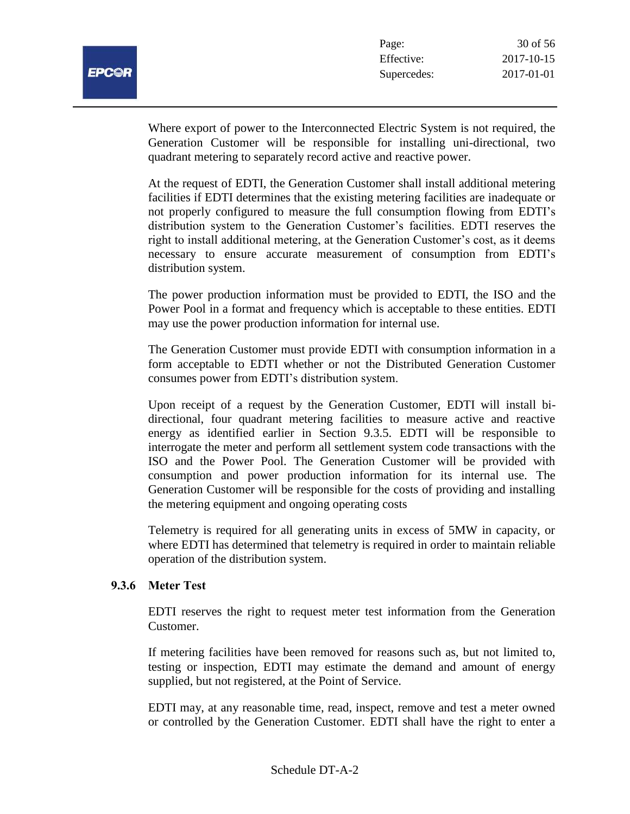

Where export of power to the Interconnected Electric System is not required, the Generation Customer will be responsible for installing uni-directional, two quadrant metering to separately record active and reactive power.

At the request of EDTI, the Generation Customer shall install additional metering facilities if EDTI determines that the existing metering facilities are inadequate or not properly configured to measure the full consumption flowing from EDTI's distribution system to the Generation Customer's facilities. EDTI reserves the right to install additional metering, at the Generation Customer's cost, as it deems necessary to ensure accurate measurement of consumption from EDTI's distribution system.

The power production information must be provided to EDTI, the ISO and the Power Pool in a format and frequency which is acceptable to these entities. EDTI may use the power production information for internal use.

The Generation Customer must provide EDTI with consumption information in a form acceptable to EDTI whether or not the Distributed Generation Customer consumes power from EDTI's distribution system.

Upon receipt of a request by the Generation Customer, EDTI will install bidirectional, four quadrant metering facilities to measure active and reactive energy as identified earlier in Section 9.3.5. EDTI will be responsible to interrogate the meter and perform all settlement system code transactions with the ISO and the Power Pool. The Generation Customer will be provided with consumption and power production information for its internal use. The Generation Customer will be responsible for the costs of providing and installing the metering equipment and ongoing operating costs

Telemetry is required for all generating units in excess of 5MW in capacity, or where EDTI has determined that telemetry is required in order to maintain reliable operation of the distribution system.

#### **9.3.6 Meter Test**

EDTI reserves the right to request meter test information from the Generation Customer.

If metering facilities have been removed for reasons such as, but not limited to, testing or inspection, EDTI may estimate the demand and amount of energy supplied, but not registered, at the Point of Service.

EDTI may, at any reasonable time, read, inspect, remove and test a meter owned or controlled by the Generation Customer. EDTI shall have the right to enter a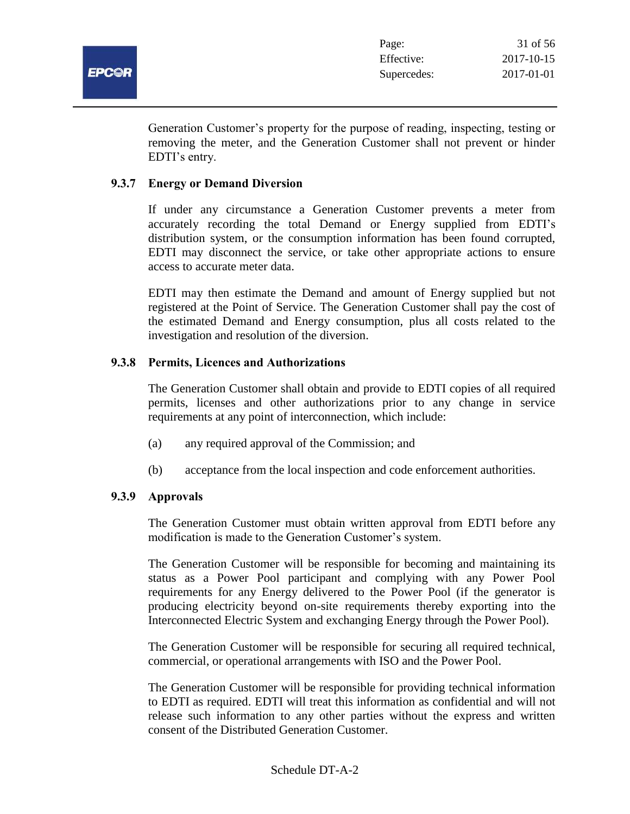

Generation Customer's property for the purpose of reading, inspecting, testing or removing the meter, and the Generation Customer shall not prevent or hinder EDTI's entry.

#### **9.3.7 Energy or Demand Diversion**

If under any circumstance a Generation Customer prevents a meter from accurately recording the total Demand or Energy supplied from EDTI's distribution system, or the consumption information has been found corrupted, EDTI may disconnect the service, or take other appropriate actions to ensure access to accurate meter data.

EDTI may then estimate the Demand and amount of Energy supplied but not registered at the Point of Service. The Generation Customer shall pay the cost of the estimated Demand and Energy consumption, plus all costs related to the investigation and resolution of the diversion.

## **9.3.8 Permits, Licences and Authorizations**

The Generation Customer shall obtain and provide to EDTI copies of all required permits, licenses and other authorizations prior to any change in service requirements at any point of interconnection, which include:

- (a) any required approval of the Commission; and
- (b) acceptance from the local inspection and code enforcement authorities.

## **9.3.9 Approvals**

The Generation Customer must obtain written approval from EDTI before any modification is made to the Generation Customer's system.

The Generation Customer will be responsible for becoming and maintaining its status as a Power Pool participant and complying with any Power Pool requirements for any Energy delivered to the Power Pool (if the generator is producing electricity beyond on-site requirements thereby exporting into the Interconnected Electric System and exchanging Energy through the Power Pool).

The Generation Customer will be responsible for securing all required technical, commercial, or operational arrangements with ISO and the Power Pool.

The Generation Customer will be responsible for providing technical information to EDTI as required. EDTI will treat this information as confidential and will not release such information to any other parties without the express and written consent of the Distributed Generation Customer.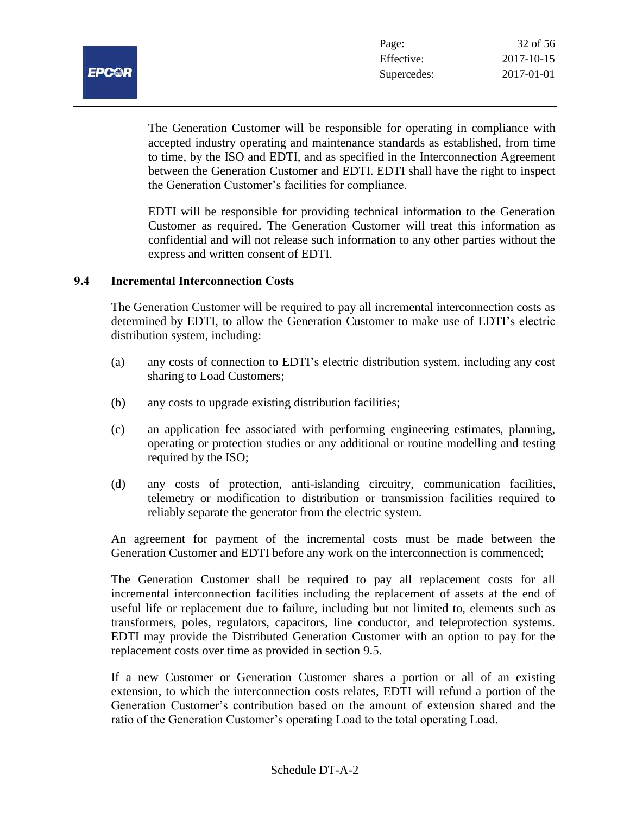

The Generation Customer will be responsible for operating in compliance with accepted industry operating and maintenance standards as established, from time to time, by the ISO and EDTI, and as specified in the Interconnection Agreement between the Generation Customer and EDTI. EDTI shall have the right to inspect the Generation Customer's facilities for compliance.

EDTI will be responsible for providing technical information to the Generation Customer as required. The Generation Customer will treat this information as confidential and will not release such information to any other parties without the express and written consent of EDTI.

#### **9.4 Incremental Interconnection Costs**

The Generation Customer will be required to pay all incremental interconnection costs as determined by EDTI, to allow the Generation Customer to make use of EDTI's electric distribution system, including:

- (a) any costs of connection to EDTI's electric distribution system, including any cost sharing to Load Customers;
- (b) any costs to upgrade existing distribution facilities;
- (c) an application fee associated with performing engineering estimates, planning, operating or protection studies or any additional or routine modelling and testing required by the ISO;
- (d) any costs of protection, anti-islanding circuitry, communication facilities, telemetry or modification to distribution or transmission facilities required to reliably separate the generator from the electric system.

An agreement for payment of the incremental costs must be made between the Generation Customer and EDTI before any work on the interconnection is commenced;

The Generation Customer shall be required to pay all replacement costs for all incremental interconnection facilities including the replacement of assets at the end of useful life or replacement due to failure, including but not limited to, elements such as transformers, poles, regulators, capacitors, line conductor, and teleprotection systems. EDTI may provide the Distributed Generation Customer with an option to pay for the replacement costs over time as provided in section 9.5.

If a new Customer or Generation Customer shares a portion or all of an existing extension, to which the interconnection costs relates, EDTI will refund a portion of the Generation Customer's contribution based on the amount of extension shared and the ratio of the Generation Customer's operating Load to the total operating Load.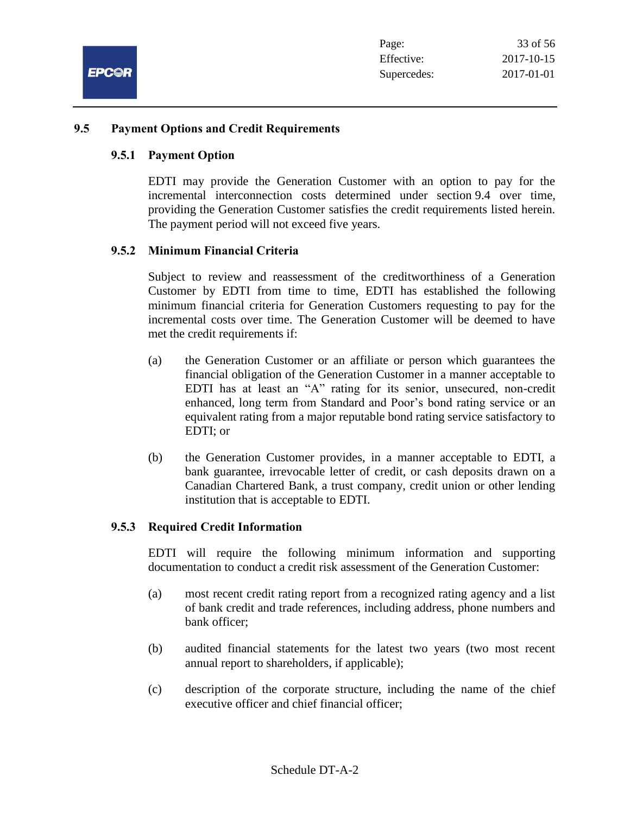

#### **9.5 Payment Options and Credit Requirements**

#### **9.5.1 Payment Option**

EDTI may provide the Generation Customer with an option to pay for the incremental interconnection costs determined under section 9.4 over time, providing the Generation Customer satisfies the credit requirements listed herein. The payment period will not exceed five years.

#### **9.5.2 Minimum Financial Criteria**

Subject to review and reassessment of the creditworthiness of a Generation Customer by EDTI from time to time, EDTI has established the following minimum financial criteria for Generation Customers requesting to pay for the incremental costs over time. The Generation Customer will be deemed to have met the credit requirements if:

- (a) the Generation Customer or an affiliate or person which guarantees the financial obligation of the Generation Customer in a manner acceptable to EDTI has at least an "A" rating for its senior, unsecured, non-credit enhanced, long term from Standard and Poor's bond rating service or an equivalent rating from a major reputable bond rating service satisfactory to EDTI; or
- (b) the Generation Customer provides, in a manner acceptable to EDTI, a bank guarantee, irrevocable letter of credit, or cash deposits drawn on a Canadian Chartered Bank, a trust company, credit union or other lending institution that is acceptable to EDTI.

#### **9.5.3 Required Credit Information**

EDTI will require the following minimum information and supporting documentation to conduct a credit risk assessment of the Generation Customer:

- (a) most recent credit rating report from a recognized rating agency and a list of bank credit and trade references, including address, phone numbers and bank officer;
- (b) audited financial statements for the latest two years (two most recent annual report to shareholders, if applicable);
- (c) description of the corporate structure, including the name of the chief executive officer and chief financial officer;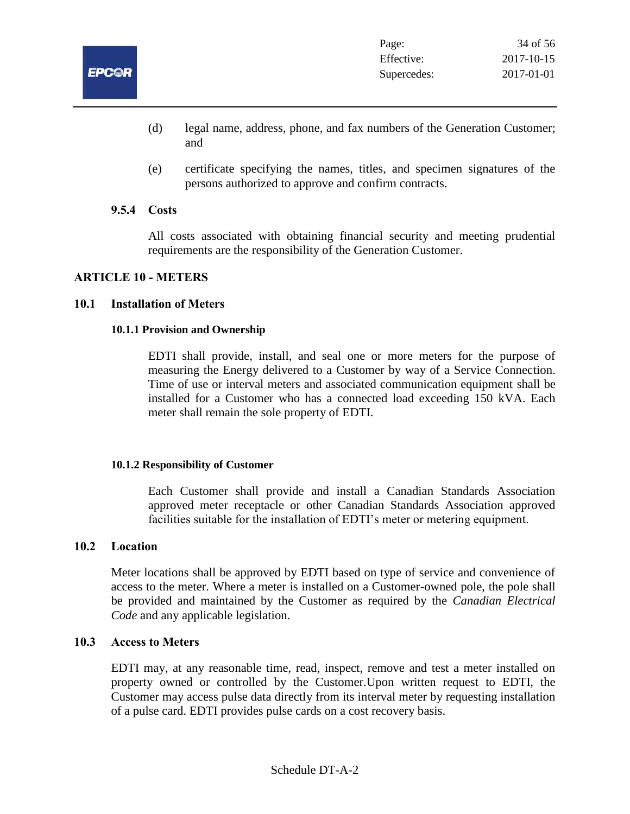

- (d) legal name, address, phone, and fax numbers of the Generation Customer; and
- (e) certificate specifying the names, titles, and specimen signatures of the persons authorized to approve and confirm contracts.

#### **9.5.4 Costs**

All costs associated with obtaining financial security and meeting prudential requirements are the responsibility of the Generation Customer.

#### **ARTICLE 10 - METERS**

#### **10.1 Installation of Meters**

#### **10.1.1 Provision and Ownership**

EDTI shall provide, install, and seal one or more meters for the purpose of measuring the Energy delivered to a Customer by way of a Service Connection. Time of use or interval meters and associated communication equipment shall be installed for a Customer who has a connected load exceeding 150 kVA. Each meter shall remain the sole property of EDTI.

#### **10.1.2 Responsibility of Customer**

Each Customer shall provide and install a Canadian Standards Association approved meter receptacle or other Canadian Standards Association approved facilities suitable for the installation of EDTI's meter or metering equipment.

#### **10.2 Location**

Meter locations shall be approved by EDTI based on type of service and convenience of access to the meter. Where a meter is installed on a Customer-owned pole, the pole shall be provided and maintained by the Customer as required by the *Canadian Electrical Code* and any applicable legislation.

#### **10.3 Access to Meters**

EDTI may, at any reasonable time, read, inspect, remove and test a meter installed on property owned or controlled by the Customer.Upon written request to EDTI, the Customer may access pulse data directly from its interval meter by requesting installation of a pulse card. EDTI provides pulse cards on a cost recovery basis.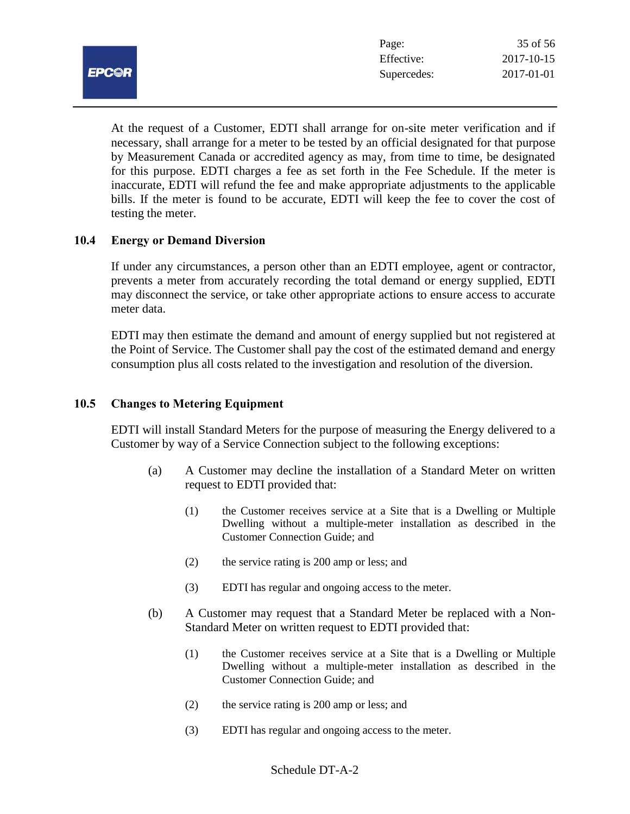

At the request of a Customer, EDTI shall arrange for on-site meter verification and if necessary, shall arrange for a meter to be tested by an official designated for that purpose by Measurement Canada or accredited agency as may, from time to time, be designated for this purpose. EDTI charges a fee as set forth in the Fee Schedule. If the meter is inaccurate, EDTI will refund the fee and make appropriate adjustments to the applicable bills. If the meter is found to be accurate, EDTI will keep the fee to cover the cost of testing the meter.

## **10.4 Energy or Demand Diversion**

If under any circumstances, a person other than an EDTI employee, agent or contractor, prevents a meter from accurately recording the total demand or energy supplied, EDTI may disconnect the service, or take other appropriate actions to ensure access to accurate meter data.

EDTI may then estimate the demand and amount of energy supplied but not registered at the Point of Service. The Customer shall pay the cost of the estimated demand and energy consumption plus all costs related to the investigation and resolution of the diversion.

#### **10.5 Changes to Metering Equipment**

EDTI will install Standard Meters for the purpose of measuring the Energy delivered to a Customer by way of a Service Connection subject to the following exceptions:

- (a) A Customer may decline the installation of a Standard Meter on written request to EDTI provided that:
	- (1) the Customer receives service at a Site that is a Dwelling or Multiple Dwelling without a multiple-meter installation as described in the Customer Connection Guide; and
	- (2) the service rating is 200 amp or less; and
	- (3) EDTI has regular and ongoing access to the meter.
- (b) A Customer may request that a Standard Meter be replaced with a Non-Standard Meter on written request to EDTI provided that:
	- (1) the Customer receives service at a Site that is a Dwelling or Multiple Dwelling without a multiple-meter installation as described in the Customer Connection Guide; and
	- (2) the service rating is 200 amp or less; and
	- (3) EDTI has regular and ongoing access to the meter.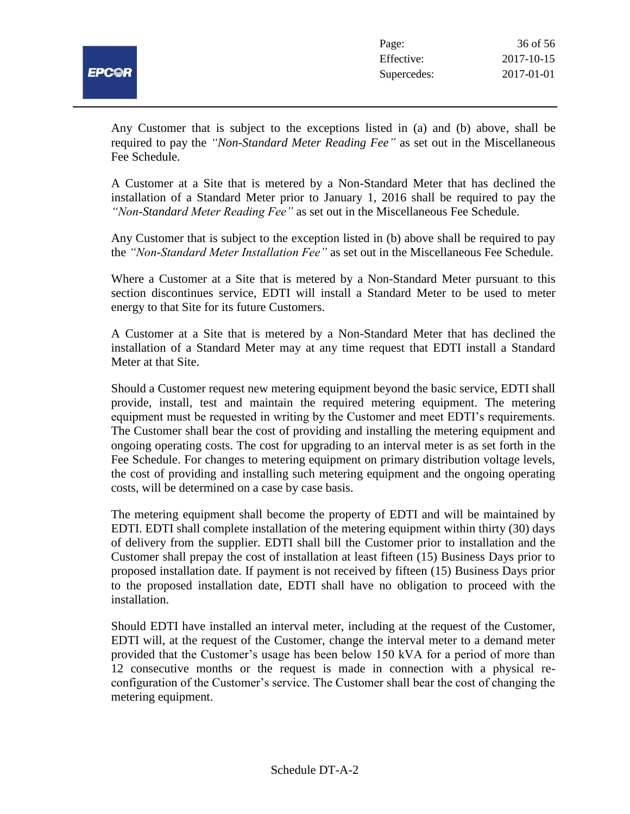

Any Customer that is subject to the exceptions listed in (a) and (b) above, shall be required to pay the *"Non-Standard Meter Reading Fee"* as set out in the Miscellaneous Fee Schedule.

A Customer at a Site that is metered by a Non-Standard Meter that has declined the installation of a Standard Meter prior to January 1, 2016 shall be required to pay the *"Non-Standard Meter Reading Fee"* as set out in the Miscellaneous Fee Schedule.

Any Customer that is subject to the exception listed in (b) above shall be required to pay the *"Non-Standard Meter Installation Fee"* as set out in the Miscellaneous Fee Schedule.

Where a Customer at a Site that is metered by a Non-Standard Meter pursuant to this section discontinues service, EDTI will install a Standard Meter to be used to meter energy to that Site for its future Customers.

A Customer at a Site that is metered by a Non-Standard Meter that has declined the installation of a Standard Meter may at any time request that EDTI install a Standard Meter at that Site.

Should a Customer request new metering equipment beyond the basic service, EDTI shall provide, install, test and maintain the required metering equipment. The metering equipment must be requested in writing by the Customer and meet EDTI's requirements. The Customer shall bear the cost of providing and installing the metering equipment and ongoing operating costs. The cost for upgrading to an interval meter is as set forth in the Fee Schedule. For changes to metering equipment on primary distribution voltage levels, the cost of providing and installing such metering equipment and the ongoing operating costs, will be determined on a case by case basis.

The metering equipment shall become the property of EDTI and will be maintained by EDTI. EDTI shall complete installation of the metering equipment within thirty (30) days of delivery from the supplier. EDTI shall bill the Customer prior to installation and the Customer shall prepay the cost of installation at least fifteen (15) Business Days prior to proposed installation date. If payment is not received by fifteen (15) Business Days prior to the proposed installation date, EDTI shall have no obligation to proceed with the installation.

Should EDTI have installed an interval meter, including at the request of the Customer, EDTI will, at the request of the Customer, change the interval meter to a demand meter provided that the Customer's usage has been below 150 kVA for a period of more than 12 consecutive months or the request is made in connection with a physical reconfiguration of the Customer's service. The Customer shall bear the cost of changing the metering equipment.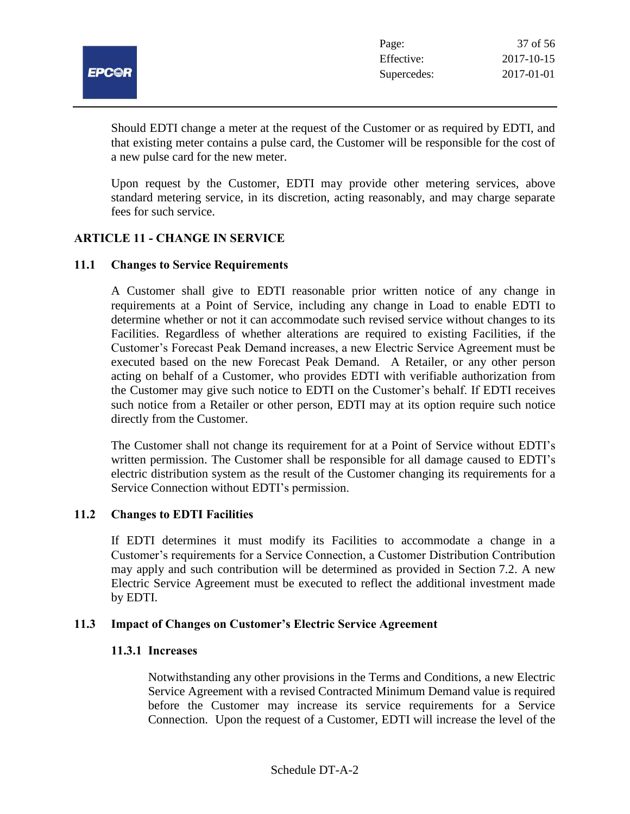

Should EDTI change a meter at the request of the Customer or as required by EDTI, and that existing meter contains a pulse card, the Customer will be responsible for the cost of a new pulse card for the new meter.

Upon request by the Customer, EDTI may provide other metering services, above standard metering service, in its discretion, acting reasonably, and may charge separate fees for such service.

## **ARTICLE 11 - CHANGE IN SERVICE**

#### **11.1 Changes to Service Requirements**

A Customer shall give to EDTI reasonable prior written notice of any change in requirements at a Point of Service, including any change in Load to enable EDTI to determine whether or not it can accommodate such revised service without changes to its Facilities. Regardless of whether alterations are required to existing Facilities, if the Customer's Forecast Peak Demand increases, a new Electric Service Agreement must be executed based on the new Forecast Peak Demand.A Retailer, or any other person acting on behalf of a Customer, who provides EDTI with verifiable authorization from the Customer may give such notice to EDTI on the Customer's behalf. If EDTI receives such notice from a Retailer or other person, EDTI may at its option require such notice directly from the Customer.

The Customer shall not change its requirement for at a Point of Service without EDTI's written permission. The Customer shall be responsible for all damage caused to EDTI's electric distribution system as the result of the Customer changing its requirements for a Service Connection without EDTI's permission.

#### **11.2 Changes to EDTI Facilities**

If EDTI determines it must modify its Facilities to accommodate a change in a Customer's requirements for a Service Connection, a Customer Distribution Contribution may apply and such contribution will be determined as provided in Section 7.2. A new Electric Service Agreement must be executed to reflect the additional investment made by EDTI.

#### **11.3 Impact of Changes on Customer's Electric Service Agreement**

#### **11.3.1 Increases**

Notwithstanding any other provisions in the Terms and Conditions, a new Electric Service Agreement with a revised Contracted Minimum Demand value is required before the Customer may increase its service requirements for a Service Connection. Upon the request of a Customer, EDTI will increase the level of the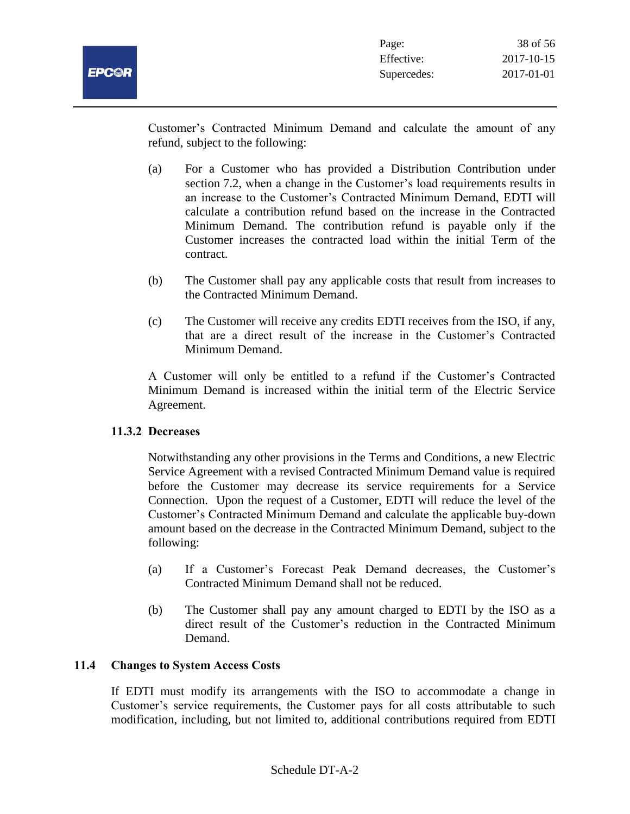Customer's Contracted Minimum Demand and calculate the amount of any refund, subject to the following:

- (a) For a Customer who has provided a Distribution Contribution under section 7.2, when a change in the Customer's load requirements results in an increase to the Customer's Contracted Minimum Demand, EDTI will calculate a contribution refund based on the increase in the Contracted Minimum Demand. The contribution refund is payable only if the Customer increases the contracted load within the initial Term of the contract.
- (b) The Customer shall pay any applicable costs that result from increases to the Contracted Minimum Demand.
- (c) The Customer will receive any credits EDTI receives from the ISO, if any, that are a direct result of the increase in the Customer's Contracted Minimum Demand.

A Customer will only be entitled to a refund if the Customer's Contracted Minimum Demand is increased within the initial term of the Electric Service Agreement.

## **11.3.2 Decreases**

Notwithstanding any other provisions in the Terms and Conditions, a new Electric Service Agreement with a revised Contracted Minimum Demand value is required before the Customer may decrease its service requirements for a Service Connection. Upon the request of a Customer, EDTI will reduce the level of the Customer's Contracted Minimum Demand and calculate the applicable buy-down amount based on the decrease in the Contracted Minimum Demand, subject to the following:

- (a) If a Customer's Forecast Peak Demand decreases, the Customer's Contracted Minimum Demand shall not be reduced.
- (b) The Customer shall pay any amount charged to EDTI by the ISO as a direct result of the Customer's reduction in the Contracted Minimum Demand.

## **11.4 Changes to System Access Costs**

If EDTI must modify its arrangements with the ISO to accommodate a change in Customer's service requirements, the Customer pays for all costs attributable to such modification, including, but not limited to, additional contributions required from EDTI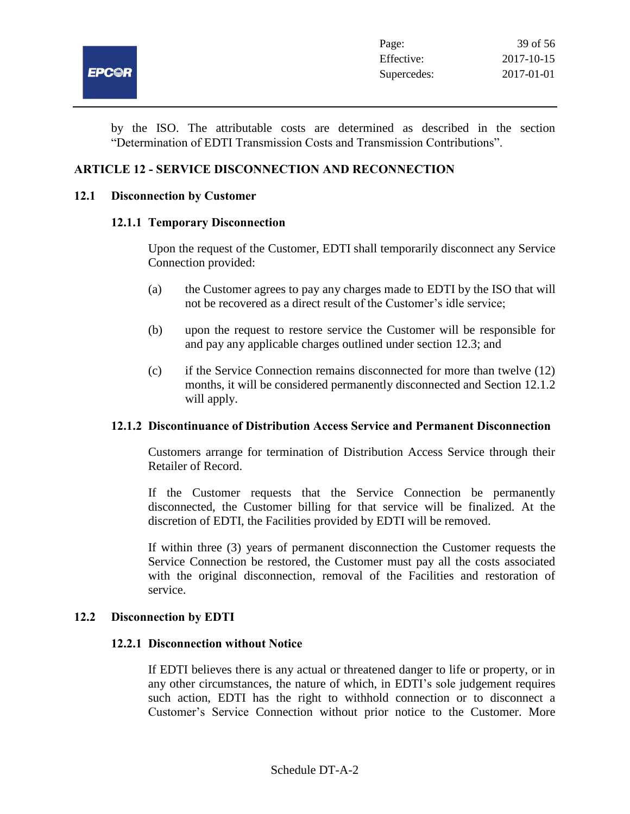

by the ISO. The attributable costs are determined as described in the section "Determination of EDTI Transmission Costs and Transmission Contributions".

## **ARTICLE 12 - SERVICE DISCONNECTION AND RECONNECTION**

#### **12.1 Disconnection by Customer**

#### **12.1.1 Temporary Disconnection**

Upon the request of the Customer, EDTI shall temporarily disconnect any Service Connection provided:

- (a) the Customer agrees to pay any charges made to EDTI by the ISO that will not be recovered as a direct result of the Customer's idle service;
- (b) upon the request to restore service the Customer will be responsible for and pay any applicable charges outlined under section 12.3; and
- (c) if the Service Connection remains disconnected for more than twelve (12) months, it will be considered permanently disconnected and Section 12.1.2 will apply.

## **12.1.2 Discontinuance of Distribution Access Service and Permanent Disconnection**

Customers arrange for termination of Distribution Access Service through their Retailer of Record.

If the Customer requests that the Service Connection be permanently disconnected, the Customer billing for that service will be finalized. At the discretion of EDTI, the Facilities provided by EDTI will be removed.

If within three (3) years of permanent disconnection the Customer requests the Service Connection be restored, the Customer must pay all the costs associated with the original disconnection, removal of the Facilities and restoration of service.

#### **12.2 Disconnection by EDTI**

#### **12.2.1 Disconnection without Notice**

If EDTI believes there is any actual or threatened danger to life or property, or in any other circumstances, the nature of which, in EDTI's sole judgement requires such action, EDTI has the right to withhold connection or to disconnect a Customer's Service Connection without prior notice to the Customer. More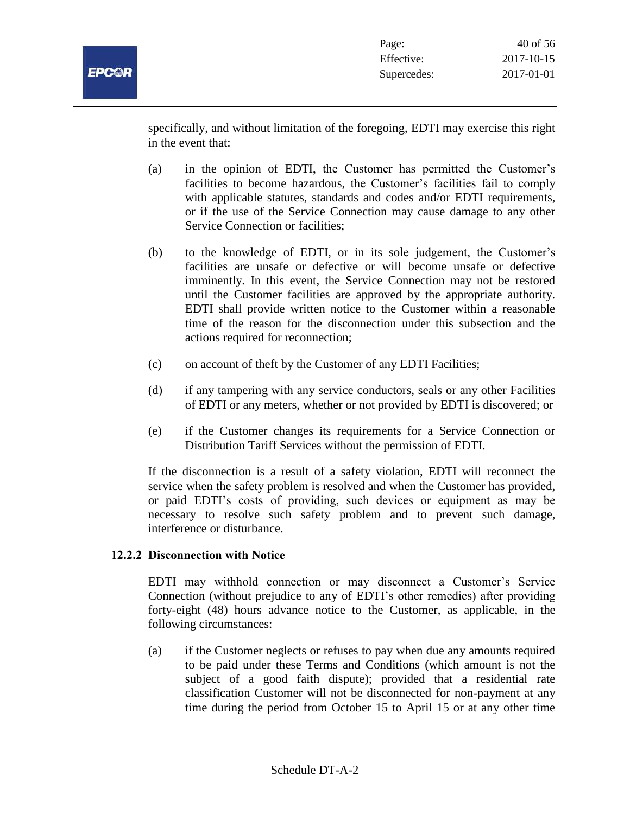

specifically, and without limitation of the foregoing, EDTI may exercise this right in the event that:

- (a) in the opinion of EDTI, the Customer has permitted the Customer's facilities to become hazardous, the Customer's facilities fail to comply with applicable statutes, standards and codes and/or EDTI requirements, or if the use of the Service Connection may cause damage to any other Service Connection or facilities;
- (b) to the knowledge of EDTI, or in its sole judgement, the Customer's facilities are unsafe or defective or will become unsafe or defective imminently. In this event, the Service Connection may not be restored until the Customer facilities are approved by the appropriate authority. EDTI shall provide written notice to the Customer within a reasonable time of the reason for the disconnection under this subsection and the actions required for reconnection;
- (c) on account of theft by the Customer of any EDTI Facilities;
- (d) if any tampering with any service conductors, seals or any other Facilities of EDTI or any meters, whether or not provided by EDTI is discovered; or
- (e) if the Customer changes its requirements for a Service Connection or Distribution Tariff Services without the permission of EDTI.

If the disconnection is a result of a safety violation, EDTI will reconnect the service when the safety problem is resolved and when the Customer has provided, or paid EDTI's costs of providing, such devices or equipment as may be necessary to resolve such safety problem and to prevent such damage, interference or disturbance.

## **12.2.2 Disconnection with Notice**

EDTI may withhold connection or may disconnect a Customer's Service Connection (without prejudice to any of EDTI's other remedies) after providing forty-eight (48) hours advance notice to the Customer, as applicable, in the following circumstances:

(a) if the Customer neglects or refuses to pay when due any amounts required to be paid under these Terms and Conditions (which amount is not the subject of a good faith dispute); provided that a residential rate classification Customer will not be disconnected for non-payment at any time during the period from October 15 to April 15 or at any other time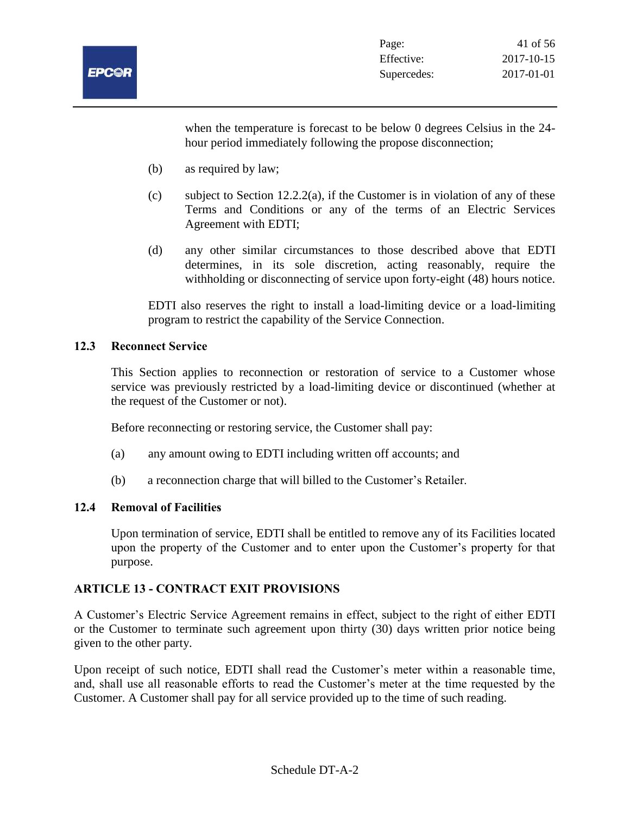

when the temperature is forecast to be below 0 degrees Celsius in the 24 hour period immediately following the propose disconnection;

- (b) as required by law;
- (c) subject to Section 12.2.2(a), if the Customer is in violation of any of these Terms and Conditions or any of the terms of an Electric Services Agreement with EDTI;
- (d) any other similar circumstances to those described above that EDTI determines, in its sole discretion, acting reasonably, require the withholding or disconnecting of service upon forty-eight (48) hours notice.

EDTI also reserves the right to install a load-limiting device or a load-limiting program to restrict the capability of the Service Connection.

## **12.3 Reconnect Service**

This Section applies to reconnection or restoration of service to a Customer whose service was previously restricted by a load-limiting device or discontinued (whether at the request of the Customer or not).

Before reconnecting or restoring service, the Customer shall pay:

- (a) any amount owing to EDTI including written off accounts; and
- (b) a reconnection charge that will billed to the Customer's Retailer.

#### **12.4 Removal of Facilities**

Upon termination of service, EDTI shall be entitled to remove any of its Facilities located upon the property of the Customer and to enter upon the Customer's property for that purpose.

## **ARTICLE 13 - CONTRACT EXIT PROVISIONS**

A Customer's Electric Service Agreement remains in effect, subject to the right of either EDTI or the Customer to terminate such agreement upon thirty (30) days written prior notice being given to the other party.

Upon receipt of such notice, EDTI shall read the Customer's meter within a reasonable time, and, shall use all reasonable efforts to read the Customer's meter at the time requested by the Customer. A Customer shall pay for all service provided up to the time of such reading.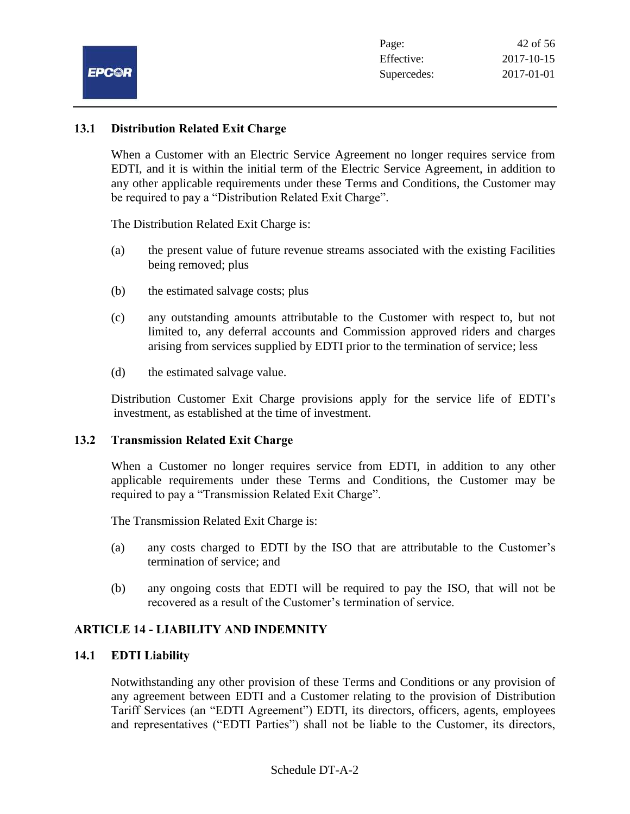

#### **13.1 Distribution Related Exit Charge**

When a Customer with an Electric Service Agreement no longer requires service from EDTI, and it is within the initial term of the Electric Service Agreement, in addition to any other applicable requirements under these Terms and Conditions, the Customer may be required to pay a "Distribution Related Exit Charge".

The Distribution Related Exit Charge is:

- (a) the present value of future revenue streams associated with the existing Facilities being removed; plus
- (b) the estimated salvage costs; plus
- (c) any outstanding amounts attributable to the Customer with respect to, but not limited to, any deferral accounts and Commission approved riders and charges arising from services supplied by EDTI prior to the termination of service; less
- (d) the estimated salvage value.

Distribution Customer Exit Charge provisions apply for the service life of EDTI's investment, as established at the time of investment.

#### **13.2 Transmission Related Exit Charge**

When a Customer no longer requires service from EDTI, in addition to any other applicable requirements under these Terms and Conditions, the Customer may be required to pay a "Transmission Related Exit Charge".

The Transmission Related Exit Charge is:

- (a) any costs charged to EDTI by the ISO that are attributable to the Customer's termination of service; and
- (b) any ongoing costs that EDTI will be required to pay the ISO, that will not be recovered as a result of the Customer's termination of service.

## **ARTICLE 14 - LIABILITY AND INDEMNITY**

#### **14.1 EDTI Liability**

Notwithstanding any other provision of these Terms and Conditions or any provision of any agreement between EDTI and a Customer relating to the provision of Distribution Tariff Services (an "EDTI Agreement") EDTI, its directors, officers, agents, employees and representatives ("EDTI Parties") shall not be liable to the Customer, its directors,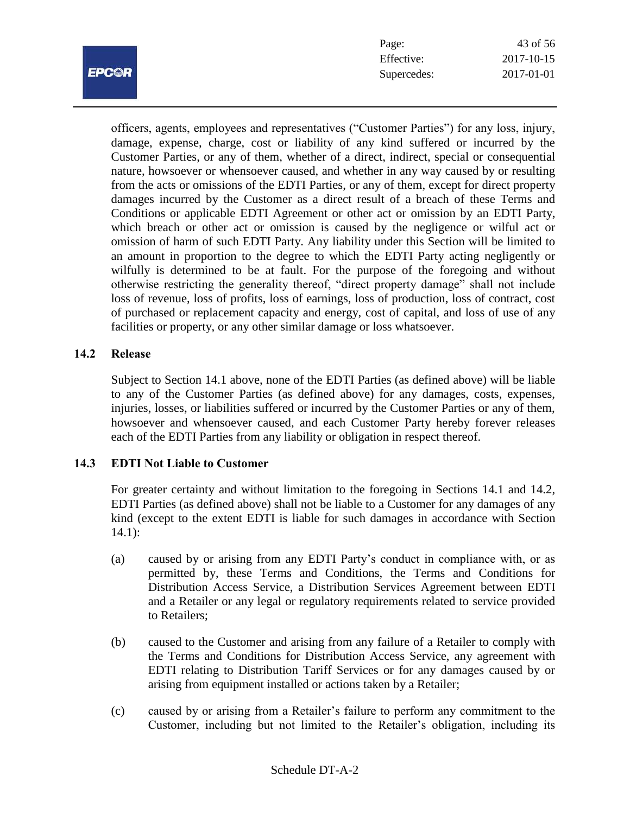

| Page:       | 43 of 56   |
|-------------|------------|
| Effective:  | 2017-10-15 |
| Supercedes: | 2017-01-01 |

officers, agents, employees and representatives ("Customer Parties") for any loss, injury, damage, expense, charge, cost or liability of any kind suffered or incurred by the Customer Parties, or any of them, whether of a direct, indirect, special or consequential nature, howsoever or whensoever caused, and whether in any way caused by or resulting from the acts or omissions of the EDTI Parties, or any of them, except for direct property damages incurred by the Customer as a direct result of a breach of these Terms and Conditions or applicable EDTI Agreement or other act or omission by an EDTI Party, which breach or other act or omission is caused by the negligence or wilful act or omission of harm of such EDTI Party. Any liability under this Section will be limited to an amount in proportion to the degree to which the EDTI Party acting negligently or wilfully is determined to be at fault. For the purpose of the foregoing and without otherwise restricting the generality thereof, "direct property damage" shall not include loss of revenue, loss of profits, loss of earnings, loss of production, loss of contract, cost of purchased or replacement capacity and energy, cost of capital, and loss of use of any facilities or property, or any other similar damage or loss whatsoever.

## **14.2 Release**

Subject to Section 14.1 above, none of the EDTI Parties (as defined above) will be liable to any of the Customer Parties (as defined above) for any damages, costs, expenses, injuries, losses, or liabilities suffered or incurred by the Customer Parties or any of them, howsoever and whensoever caused, and each Customer Party hereby forever releases each of the EDTI Parties from any liability or obligation in respect thereof.

## **14.3 EDTI Not Liable to Customer**

For greater certainty and without limitation to the foregoing in Sections 14.1 and 14.2, EDTI Parties (as defined above) shall not be liable to a Customer for any damages of any kind (except to the extent EDTI is liable for such damages in accordance with Section  $14.1$ :

- (a) caused by or arising from any EDTI Party's conduct in compliance with, or as permitted by, these Terms and Conditions, the Terms and Conditions for Distribution Access Service, a Distribution Services Agreement between EDTI and a Retailer or any legal or regulatory requirements related to service provided to Retailers;
- (b) caused to the Customer and arising from any failure of a Retailer to comply with the Terms and Conditions for Distribution Access Service, any agreement with EDTI relating to Distribution Tariff Services or for any damages caused by or arising from equipment installed or actions taken by a Retailer;
- (c) caused by or arising from a Retailer's failure to perform any commitment to the Customer, including but not limited to the Retailer's obligation, including its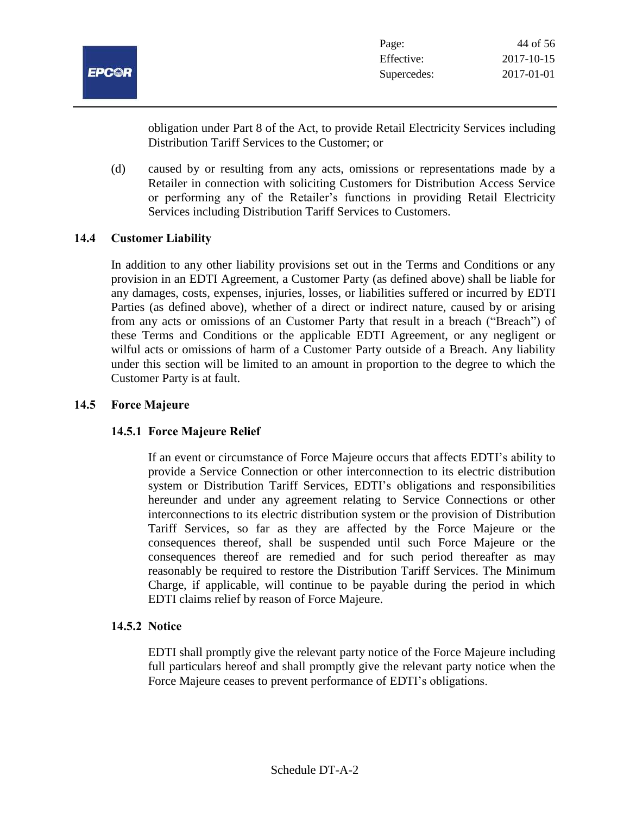

obligation under Part 8 of the Act, to provide Retail Electricity Services including Distribution Tariff Services to the Customer; or

(d) caused by or resulting from any acts, omissions or representations made by a Retailer in connection with soliciting Customers for Distribution Access Service or performing any of the Retailer's functions in providing Retail Electricity Services including Distribution Tariff Services to Customers.

## **14.4 Customer Liability**

In addition to any other liability provisions set out in the Terms and Conditions or any provision in an EDTI Agreement, a Customer Party (as defined above) shall be liable for any damages, costs, expenses, injuries, losses, or liabilities suffered or incurred by EDTI Parties (as defined above), whether of a direct or indirect nature, caused by or arising from any acts or omissions of an Customer Party that result in a breach ("Breach") of these Terms and Conditions or the applicable EDTI Agreement, or any negligent or wilful acts or omissions of harm of a Customer Party outside of a Breach. Any liability under this section will be limited to an amount in proportion to the degree to which the Customer Party is at fault.

## **14.5 Force Majeure**

## **14.5.1 Force Majeure Relief**

If an event or circumstance of Force Majeure occurs that affects EDTI's ability to provide a Service Connection or other interconnection to its electric distribution system or Distribution Tariff Services, EDTI's obligations and responsibilities hereunder and under any agreement relating to Service Connections or other interconnections to its electric distribution system or the provision of Distribution Tariff Services, so far as they are affected by the Force Majeure or the consequences thereof, shall be suspended until such Force Majeure or the consequences thereof are remedied and for such period thereafter as may reasonably be required to restore the Distribution Tariff Services. The Minimum Charge, if applicable, will continue to be payable during the period in which EDTI claims relief by reason of Force Majeure.

## **14.5.2 Notice**

EDTI shall promptly give the relevant party notice of the Force Majeure including full particulars hereof and shall promptly give the relevant party notice when the Force Majeure ceases to prevent performance of EDTI's obligations.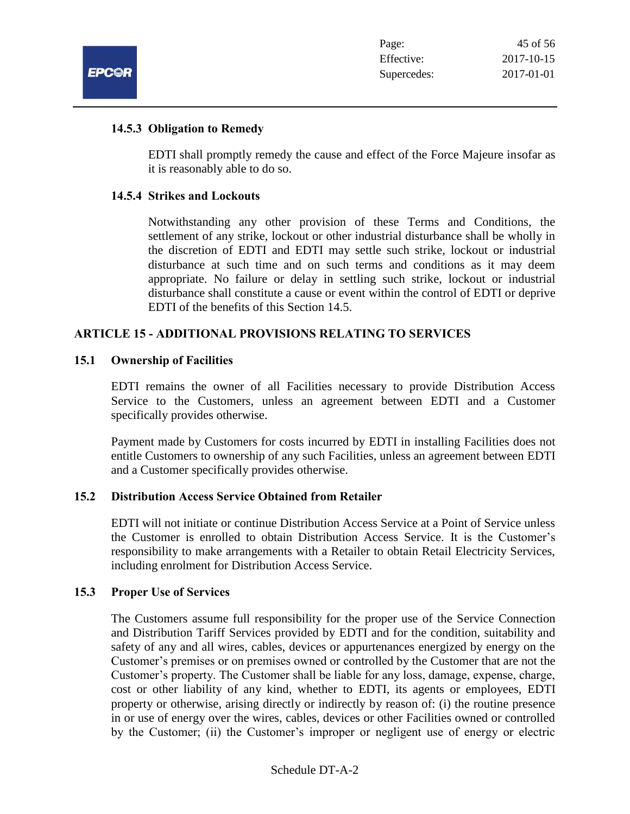

#### **14.5.3 Obligation to Remedy**

EDTI shall promptly remedy the cause and effect of the Force Majeure insofar as it is reasonably able to do so.

#### **14.5.4 Strikes and Lockouts**

Notwithstanding any other provision of these Terms and Conditions, the settlement of any strike, lockout or other industrial disturbance shall be wholly in the discretion of EDTI and EDTI may settle such strike, lockout or industrial disturbance at such time and on such terms and conditions as it may deem appropriate. No failure or delay in settling such strike, lockout or industrial disturbance shall constitute a cause or event within the control of EDTI or deprive EDTI of the benefits of this Section 14.5.

## **ARTICLE 15 - ADDITIONAL PROVISIONS RELATING TO SERVICES**

#### **15.1 Ownership of Facilities**

EDTI remains the owner of all Facilities necessary to provide Distribution Access Service to the Customers, unless an agreement between EDTI and a Customer specifically provides otherwise.

Payment made by Customers for costs incurred by EDTI in installing Facilities does not entitle Customers to ownership of any such Facilities, unless an agreement between EDTI and a Customer specifically provides otherwise.

#### **15.2 Distribution Access Service Obtained from Retailer**

EDTI will not initiate or continue Distribution Access Service at a Point of Service unless the Customer is enrolled to obtain Distribution Access Service. It is the Customer's responsibility to make arrangements with a Retailer to obtain Retail Electricity Services, including enrolment for Distribution Access Service.

#### **15.3 Proper Use of Services**

The Customers assume full responsibility for the proper use of the Service Connection and Distribution Tariff Services provided by EDTI and for the condition, suitability and safety of any and all wires, cables, devices or appurtenances energized by energy on the Customer's premises or on premises owned or controlled by the Customer that are not the Customer's property. The Customer shall be liable for any loss, damage, expense, charge, cost or other liability of any kind, whether to EDTI, its agents or employees, EDTI property or otherwise, arising directly or indirectly by reason of: (i) the routine presence in or use of energy over the wires, cables, devices or other Facilities owned or controlled by the Customer; (ii) the Customer's improper or negligent use of energy or electric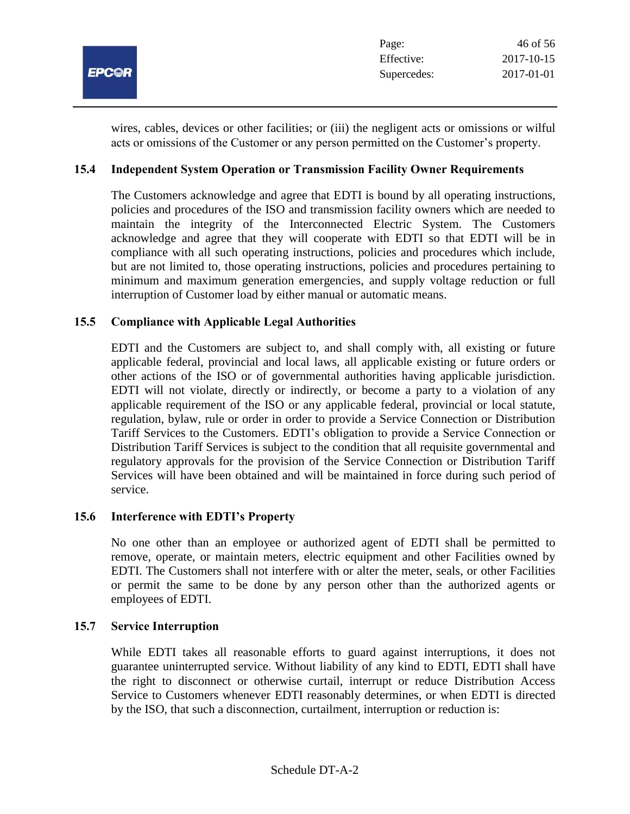

wires, cables, devices or other facilities; or (iii) the negligent acts or omissions or wilful acts or omissions of the Customer or any person permitted on the Customer's property.

## **15.4 Independent System Operation or Transmission Facility Owner Requirements**

The Customers acknowledge and agree that EDTI is bound by all operating instructions, policies and procedures of the ISO and transmission facility owners which are needed to maintain the integrity of the Interconnected Electric System. The Customers acknowledge and agree that they will cooperate with EDTI so that EDTI will be in compliance with all such operating instructions, policies and procedures which include, but are not limited to, those operating instructions, policies and procedures pertaining to minimum and maximum generation emergencies, and supply voltage reduction or full interruption of Customer load by either manual or automatic means.

#### **15.5 Compliance with Applicable Legal Authorities**

EDTI and the Customers are subject to, and shall comply with, all existing or future applicable federal, provincial and local laws, all applicable existing or future orders or other actions of the ISO or of governmental authorities having applicable jurisdiction. EDTI will not violate, directly or indirectly, or become a party to a violation of any applicable requirement of the ISO or any applicable federal, provincial or local statute, regulation, bylaw, rule or order in order to provide a Service Connection or Distribution Tariff Services to the Customers. EDTI's obligation to provide a Service Connection or Distribution Tariff Services is subject to the condition that all requisite governmental and regulatory approvals for the provision of the Service Connection or Distribution Tariff Services will have been obtained and will be maintained in force during such period of service.

#### **15.6 Interference with EDTI's Property**

No one other than an employee or authorized agent of EDTI shall be permitted to remove, operate, or maintain meters, electric equipment and other Facilities owned by EDTI. The Customers shall not interfere with or alter the meter, seals, or other Facilities or permit the same to be done by any person other than the authorized agents or employees of EDTI.

#### **15.7 Service Interruption**

While EDTI takes all reasonable efforts to guard against interruptions, it does not guarantee uninterrupted service. Without liability of any kind to EDTI, EDTI shall have the right to disconnect or otherwise curtail, interrupt or reduce Distribution Access Service to Customers whenever EDTI reasonably determines, or when EDTI is directed by the ISO, that such a disconnection, curtailment, interruption or reduction is: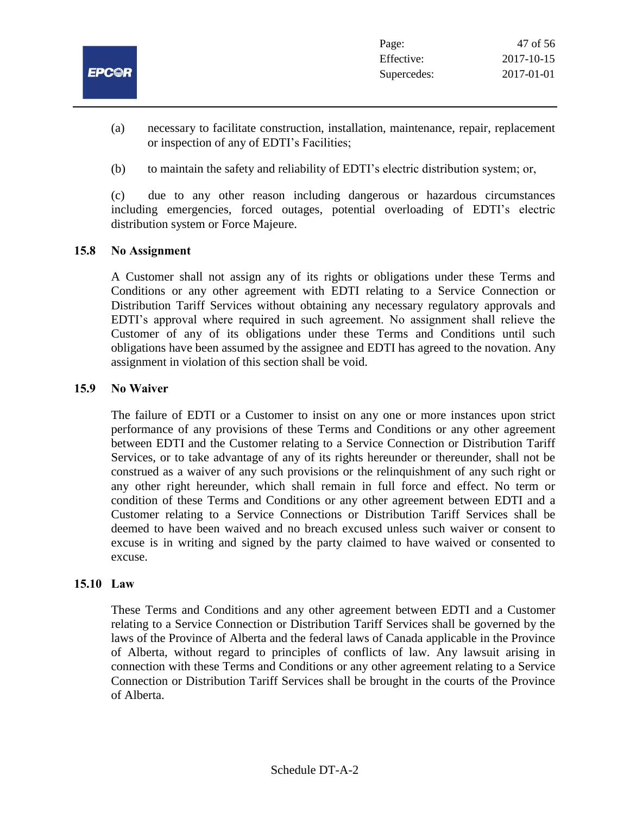

- (a) necessary to facilitate construction, installation, maintenance, repair, replacement or inspection of any of EDTI's Facilities;
- (b) to maintain the safety and reliability of EDTI's electric distribution system; or,

(c) due to any other reason including dangerous or hazardous circumstances including emergencies, forced outages, potential overloading of EDTI's electric distribution system or Force Majeure.

#### **15.8 No Assignment**

A Customer shall not assign any of its rights or obligations under these Terms and Conditions or any other agreement with EDTI relating to a Service Connection or Distribution Tariff Services without obtaining any necessary regulatory approvals and EDTI's approval where required in such agreement. No assignment shall relieve the Customer of any of its obligations under these Terms and Conditions until such obligations have been assumed by the assignee and EDTI has agreed to the novation. Any assignment in violation of this section shall be void.

#### **15.9 No Waiver**

The failure of EDTI or a Customer to insist on any one or more instances upon strict performance of any provisions of these Terms and Conditions or any other agreement between EDTI and the Customer relating to a Service Connection or Distribution Tariff Services, or to take advantage of any of its rights hereunder or thereunder, shall not be construed as a waiver of any such provisions or the relinquishment of any such right or any other right hereunder, which shall remain in full force and effect. No term or condition of these Terms and Conditions or any other agreement between EDTI and a Customer relating to a Service Connections or Distribution Tariff Services shall be deemed to have been waived and no breach excused unless such waiver or consent to excuse is in writing and signed by the party claimed to have waived or consented to excuse.

#### **15.10 Law**

These Terms and Conditions and any other agreement between EDTI and a Customer relating to a Service Connection or Distribution Tariff Services shall be governed by the laws of the Province of Alberta and the federal laws of Canada applicable in the Province of Alberta, without regard to principles of conflicts of law. Any lawsuit arising in connection with these Terms and Conditions or any other agreement relating to a Service Connection or Distribution Tariff Services shall be brought in the courts of the Province of Alberta.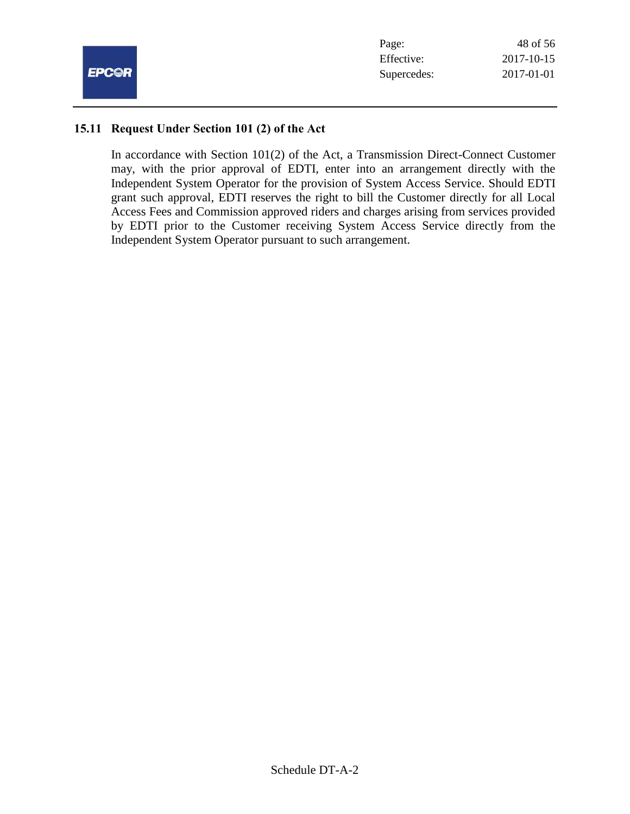

#### **15.11 Request Under Section 101 (2) of the Act**

In accordance with Section 101(2) of the Act, a Transmission Direct-Connect Customer may, with the prior approval of EDTI, enter into an arrangement directly with the Independent System Operator for the provision of System Access Service. Should EDTI grant such approval, EDTI reserves the right to bill the Customer directly for all Local Access Fees and Commission approved riders and charges arising from services provided by EDTI prior to the Customer receiving System Access Service directly from the Independent System Operator pursuant to such arrangement.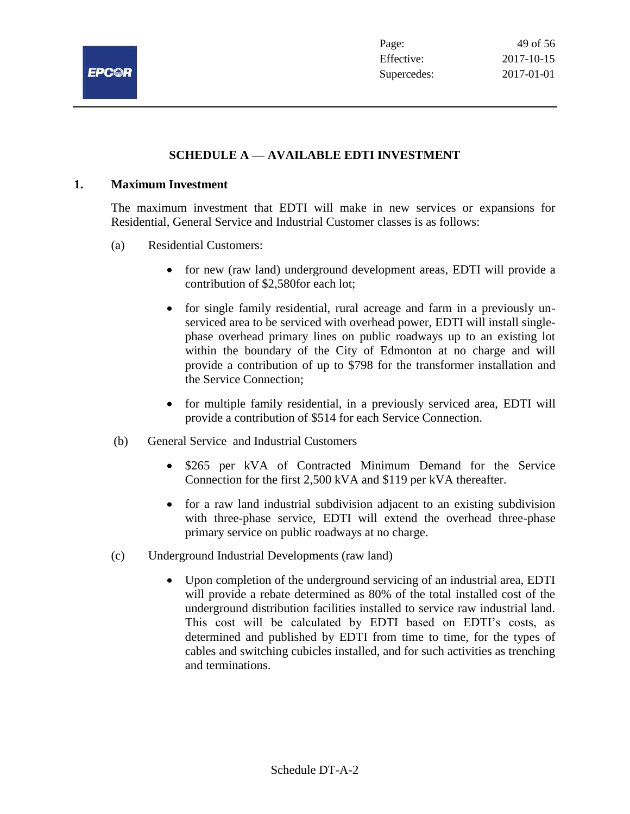

## **SCHEDULE A — AVAILABLE EDTI INVESTMENT**

#### **1. Maximum Investment**

The maximum investment that EDTI will make in new services or expansions for Residential, General Service and Industrial Customer classes is as follows:

- (a) Residential Customers:
	- for new (raw land) underground development areas, EDTI will provide a contribution of \$2,580for each lot;
	- for single family residential, rural acreage and farm in a previously unserviced area to be serviced with overhead power, EDTI will install singlephase overhead primary lines on public roadways up to an existing lot within the boundary of the City of Edmonton at no charge and will provide a contribution of up to \$798 for the transformer installation and the Service Connection;
	- for multiple family residential, in a previously serviced area, EDTI will provide a contribution of \$514 for each Service Connection.
- (b) General Service and Industrial Customers
	- \$265 per kVA of Contracted Minimum Demand for the Service Connection for the first 2,500 kVA and \$119 per kVA thereafter.
	- for a raw land industrial subdivision adjacent to an existing subdivision with three-phase service, EDTI will extend the overhead three-phase primary service on public roadways at no charge.
- (c) Underground Industrial Developments (raw land)
	- Upon completion of the underground servicing of an industrial area, EDTI will provide a rebate determined as 80% of the total installed cost of the underground distribution facilities installed to service raw industrial land. This cost will be calculated by EDTI based on EDTI's costs, as determined and published by EDTI from time to time, for the types of cables and switching cubicles installed, and for such activities as trenching and terminations.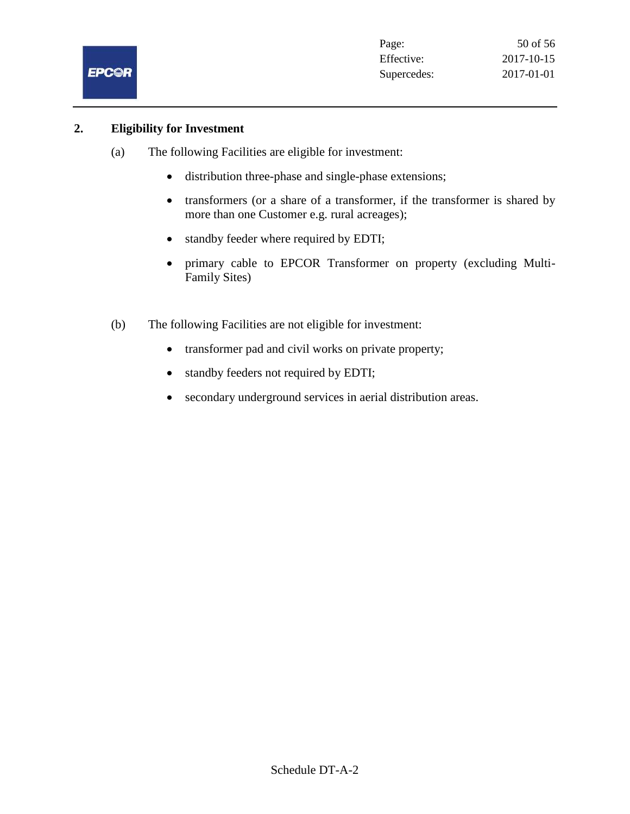

#### **2. Eligibility for Investment**

- (a) The following Facilities are eligible for investment:
	- distribution three-phase and single-phase extensions;
	- transformers (or a share of a transformer, if the transformer is shared by more than one Customer e.g. rural acreages);
	- standby feeder where required by EDTI;
	- primary cable to EPCOR Transformer on property (excluding Multi-Family Sites)
- (b) The following Facilities are not eligible for investment:
	- transformer pad and civil works on private property;
	- standby feeders not required by EDTI;
	- secondary underground services in aerial distribution areas.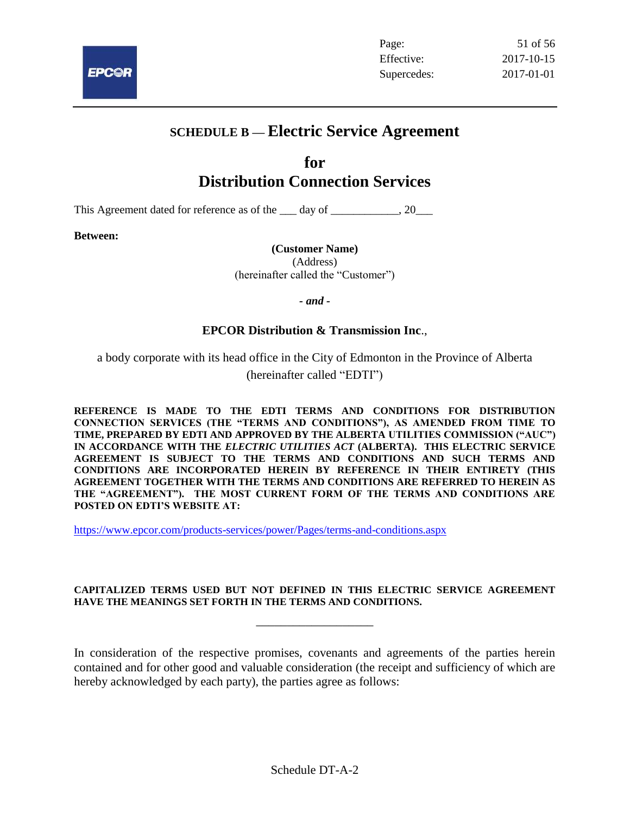

## **SCHEDULE B — Electric Service Agreement**

## **for Distribution Connection Services**

This Agreement dated for reference as of the day of  $\qquad \qquad .20$ 

**Between:**

## **(Customer Name)**

(Address) (hereinafter called the "Customer")

*- and -*

## **EPCOR Distribution & Transmission Inc**.,

a body corporate with its head office in the City of Edmonton in the Province of Alberta

(hereinafter called "EDTI")

**REFERENCE IS MADE TO THE EDTI TERMS AND CONDITIONS FOR DISTRIBUTION CONNECTION SERVICES (THE "TERMS AND CONDITIONS"), AS AMENDED FROM TIME TO TIME, PREPARED BY EDTI AND APPROVED BY THE ALBERTA UTILITIES COMMISSION ("AUC") IN ACCORDANCE WITH THE** *ELECTRIC UTILITIES ACT* **(ALBERTA). THIS ELECTRIC SERVICE AGREEMENT IS SUBJECT TO THE TERMS AND CONDITIONS AND SUCH TERMS AND CONDITIONS ARE INCORPORATED HEREIN BY REFERENCE IN THEIR ENTIRETY (THIS AGREEMENT TOGETHER WITH THE TERMS AND CONDITIONS ARE REFERRED TO HEREIN AS THE "AGREEMENT"). THE MOST CURRENT FORM OF THE TERMS AND CONDITIONS ARE POSTED ON EDTI'S WEBSITE AT:**

<https://www.epcor.com/products-services/power/Pages/terms-and-conditions.aspx>

#### **CAPITALIZED TERMS USED BUT NOT DEFINED IN THIS ELECTRIC SERVICE AGREEMENT HAVE THE MEANINGS SET FORTH IN THE TERMS AND CONDITIONS.**

\_\_\_\_\_\_\_\_\_\_\_\_\_\_\_\_\_\_\_

In consideration of the respective promises, covenants and agreements of the parties herein contained and for other good and valuable consideration (the receipt and sufficiency of which are hereby acknowledged by each party), the parties agree as follows: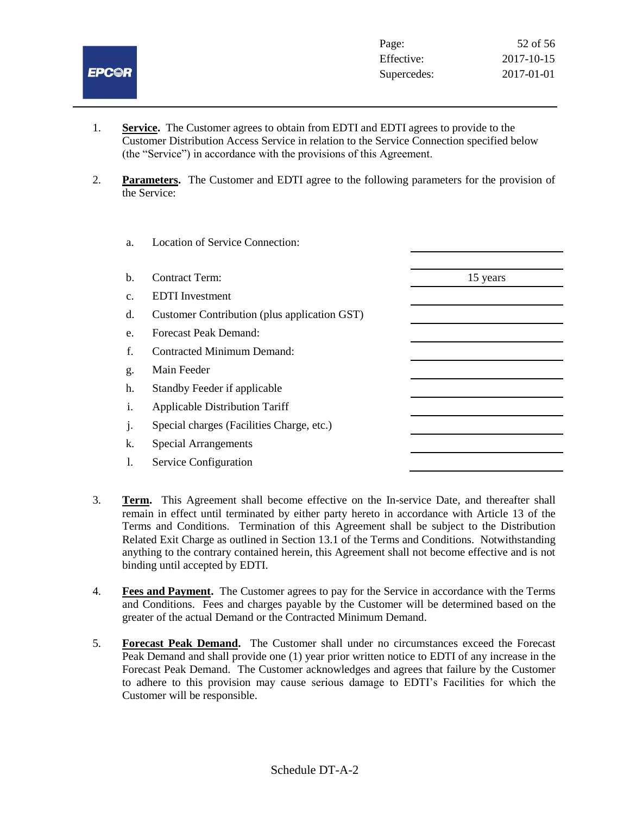

- 1. **Service.** The Customer agrees to obtain from EDTI and EDTI agrees to provide to the Customer Distribution Access Service in relation to the Service Connection specified below (the "Service") in accordance with the provisions of this Agreement.
- 2. **Parameters.** The Customer and EDTI agree to the following parameters for the provision of the Service:

| a.             | <b>Location of Service Connection:</b>       |          |
|----------------|----------------------------------------------|----------|
| b.             | <b>Contract Term:</b>                        | 15 years |
| $\mathbf{c}$ . | <b>EDTI</b> Investment                       |          |
| d.             | Customer Contribution (plus application GST) |          |
| e.             | <b>Forecast Peak Demand:</b>                 |          |
| f.             | Contracted Minimum Demand:                   |          |
| g.             | Main Feeder                                  |          |
| h.             | Standby Feeder if applicable                 |          |
| i.             | <b>Applicable Distribution Tariff</b>        |          |
| $\cdot$        | Special charges (Facilities Charge, etc.)    |          |
| k.             | <b>Special Arrangements</b>                  |          |
| 1.             | Service Configuration                        |          |
|                |                                              |          |

- 3. **Term.** This Agreement shall become effective on the In-service Date, and thereafter shall remain in effect until terminated by either party hereto in accordance with Article 13 of the Terms and Conditions. Termination of this Agreement shall be subject to the Distribution Related Exit Charge as outlined in Section 13.1 of the Terms and Conditions. Notwithstanding anything to the contrary contained herein, this Agreement shall not become effective and is not binding until accepted by EDTI.
- 4. **Fees and Payment.** The Customer agrees to pay for the Service in accordance with the Terms and Conditions. Fees and charges payable by the Customer will be determined based on the greater of the actual Demand or the Contracted Minimum Demand.
- 5. **Forecast Peak Demand.** The Customer shall under no circumstances exceed the Forecast Peak Demand and shall provide one (1) year prior written notice to EDTI of any increase in the Forecast Peak Demand. The Customer acknowledges and agrees that failure by the Customer to adhere to this provision may cause serious damage to EDTI's Facilities for which the Customer will be responsible.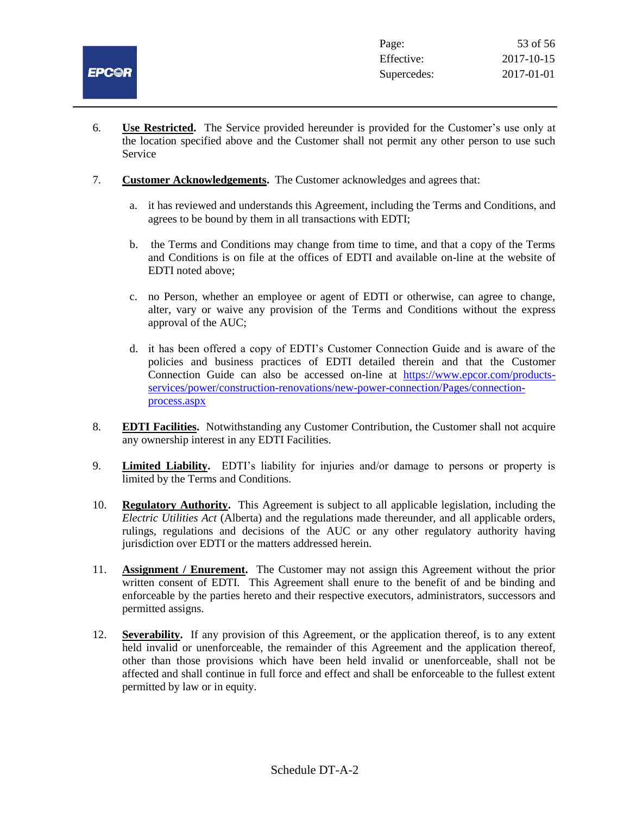

- 6. **Use Restricted.** The Service provided hereunder is provided for the Customer's use only at the location specified above and the Customer shall not permit any other person to use such Service
- 7. **Customer Acknowledgements.** The Customer acknowledges and agrees that:
	- a. it has reviewed and understands this Agreement, including the Terms and Conditions, and agrees to be bound by them in all transactions with EDTI;
	- b. the Terms and Conditions may change from time to time, and that a copy of the Terms and Conditions is on file at the offices of EDTI and available on-line at the website of EDTI noted above;
	- c. no Person, whether an employee or agent of EDTI or otherwise, can agree to change, alter, vary or waive any provision of the Terms and Conditions without the express approval of the AUC;
	- d. it has been offered a copy of EDTI's Customer Connection Guide and is aware of the policies and business practices of EDTI detailed therein and that the Customer Connection Guide can also be accessed on-line at [https://www.epcor.com/products](https://www.epcor.com/products-services/power/construction-renovations/new-power-connection/Pages/connection-process.aspx)[services/power/construction-renovations/new-power-connection/Pages/connection](https://www.epcor.com/products-services/power/construction-renovations/new-power-connection/Pages/connection-process.aspx)[process.aspx](https://www.epcor.com/products-services/power/construction-renovations/new-power-connection/Pages/connection-process.aspx)
- 8. **EDTI Facilities.** Notwithstanding any Customer Contribution, the Customer shall not acquire any ownership interest in any EDTI Facilities.
- 9. **Limited Liability.** EDTI's liability for injuries and/or damage to persons or property is limited by the Terms and Conditions.
- 10. **Regulatory Authority.** This Agreement is subject to all applicable legislation, including the *Electric Utilities Act* (Alberta) and the regulations made thereunder, and all applicable orders, rulings, regulations and decisions of the AUC or any other regulatory authority having jurisdiction over EDTI or the matters addressed herein.
- 11. **Assignment / Enurement.** The Customer may not assign this Agreement without the prior written consent of EDTI. This Agreement shall enure to the benefit of and be binding and enforceable by the parties hereto and their respective executors, administrators, successors and permitted assigns.
- 12. **Severability.** If any provision of this Agreement, or the application thereof, is to any extent held invalid or unenforceable, the remainder of this Agreement and the application thereof, other than those provisions which have been held invalid or unenforceable, shall not be affected and shall continue in full force and effect and shall be enforceable to the fullest extent permitted by law or in equity.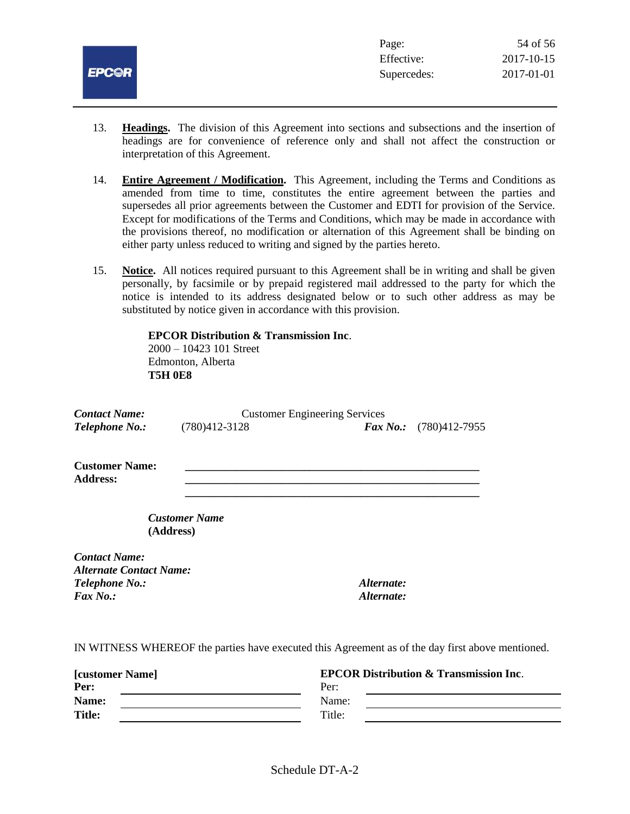

- 13. **Headings.** The division of this Agreement into sections and subsections and the insertion of headings are for convenience of reference only and shall not affect the construction or interpretation of this Agreement.
- 14. **Entire Agreement / Modification.** This Agreement, including the Terms and Conditions as amended from time to time, constitutes the entire agreement between the parties and supersedes all prior agreements between the Customer and EDTI for provision of the Service. Except for modifications of the Terms and Conditions, which may be made in accordance with the provisions thereof, no modification or alternation of this Agreement shall be binding on either party unless reduced to writing and signed by the parties hereto.
- 15. **Notice.** All notices required pursuant to this Agreement shall be in writing and shall be given personally, by facsimile or by prepaid registered mail addressed to the party for which the notice is intended to its address designated below or to such other address as may be substituted by notice given in accordance with this provision.

**\_\_\_\_\_\_\_\_\_\_\_\_\_\_\_\_\_\_\_\_\_\_\_\_\_\_\_\_\_\_\_\_\_\_\_\_\_\_\_\_\_\_\_\_\_\_\_\_\_\_\_\_**

**EPCOR Distribution & Transmission Inc**. 2000 – 10423 101 Street Edmonton, Alberta **T5H 0E8**

| <b>Contact Name:</b> | <b>Customer Engineering Services</b> |                                 |
|----------------------|--------------------------------------|---------------------------------|
| Telephone No.:       | $(780)412 - 3128$                    | <b>Fax No.:</b> $(780)412-7955$ |

**Customer Name: Address: \_\_\_\_\_\_\_\_\_\_\_\_\_\_\_\_\_\_\_\_\_\_\_\_\_\_\_\_\_\_\_\_\_\_\_\_\_\_\_\_\_\_\_\_\_\_\_\_\_\_\_\_**

> *Customer Name* **(Address)**

*Contact Name: Alternate Contact Name: Telephone No.: Alternate: Fax No.: Alternate:*

IN WITNESS WHEREOF the parties have executed this Agreement as of the day first above mentioned.

| <b>[customer Name]</b> | <b>EPCOR Distribution &amp; Transmission Inc.</b> |
|------------------------|---------------------------------------------------|
| Per:                   | Per:                                              |
| Name:                  | Name:                                             |
| <b>Title:</b>          | Title:                                            |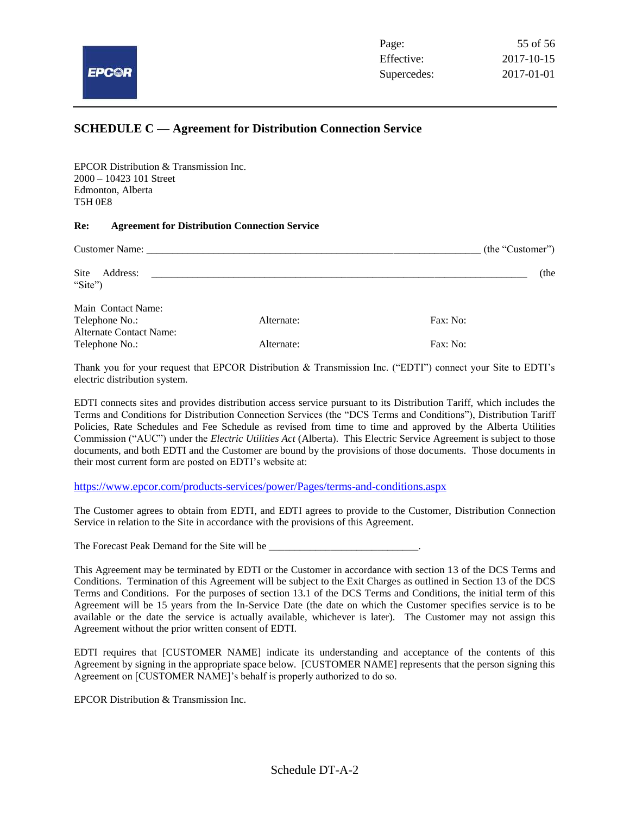

#### **SCHEDULE C — Agreement for Distribution Connection Service**

EPCOR Distribution & Transmission Inc. 2000 – 10423 101 Street Edmonton, Alberta T5H 0E8

#### **Re: Agreement for Distribution Connection Service**

|                                                  |            | (the "Customer") |
|--------------------------------------------------|------------|------------------|
| Site<br>Address:<br>"Site")                      |            | (the             |
| Main Contact Name:                               |            |                  |
| Telephone No.:                                   | Alternate: | Fax: No:         |
| <b>Alternate Contact Name:</b><br>Telephone No.: | Alternate: | Fax: No:         |

Thank you for your request that EPCOR Distribution & Transmission Inc. ("EDTI") connect your Site to EDTI's electric distribution system.

EDTI connects sites and provides distribution access service pursuant to its Distribution Tariff, which includes the Terms and Conditions for Distribution Connection Services (the "DCS Terms and Conditions"), Distribution Tariff Policies, Rate Schedules and Fee Schedule as revised from time to time and approved by the Alberta Utilities Commission ("AUC") under the *Electric Utilities Act* (Alberta). This Electric Service Agreement is subject to those documents, and both EDTI and the Customer are bound by the provisions of those documents. Those documents in their most current form are posted on EDTI's website at:

<https://www.epcor.com/products-services/power/Pages/terms-and-conditions.aspx>

The Customer agrees to obtain from EDTI, and EDTI agrees to provide to the Customer, Distribution Connection Service in relation to the Site in accordance with the provisions of this Agreement.

The Forecast Peak Demand for the Site will be \_\_\_\_\_\_\_\_\_\_\_\_\_\_\_\_\_\_\_\_\_\_\_\_\_\_\_\_\_.

This Agreement may be terminated by EDTI or the Customer in accordance with section 13 of the DCS Terms and Conditions. Termination of this Agreement will be subject to the Exit Charges as outlined in Section 13 of the DCS Terms and Conditions. For the purposes of section 13.1 of the DCS Terms and Conditions, the initial term of this Agreement will be 15 years from the In-Service Date (the date on which the Customer specifies service is to be available or the date the service is actually available, whichever is later). The Customer may not assign this Agreement without the prior written consent of EDTI.

EDTI requires that [CUSTOMER NAME] indicate its understanding and acceptance of the contents of this Agreement by signing in the appropriate space below. [CUSTOMER NAME] represents that the person signing this Agreement on [CUSTOMER NAME]'s behalf is properly authorized to do so.

EPCOR Distribution & Transmission Inc.